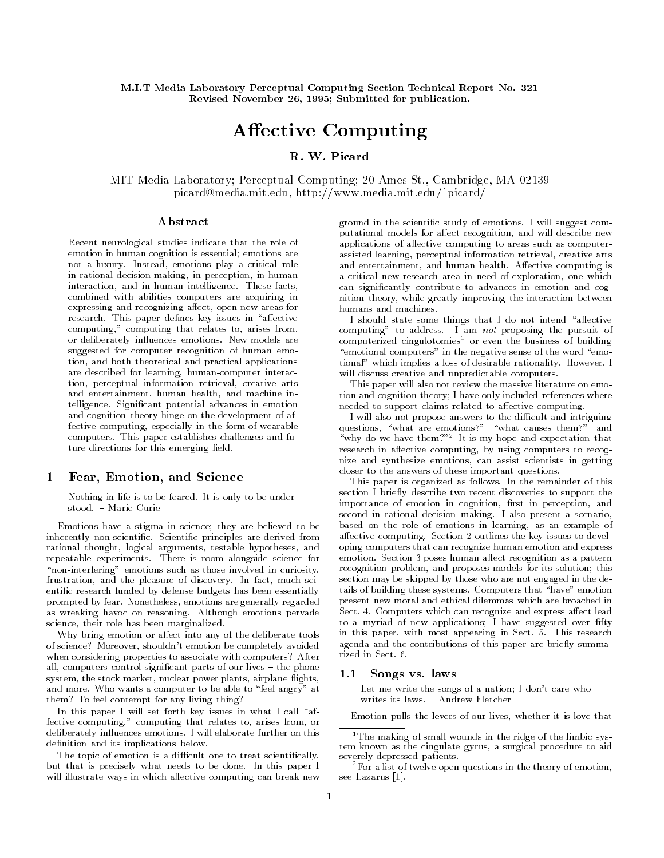$M$  mit  $M$  mit  $M$  and  $M$  . The computing Section Technical Report No  $\mathbb{R}^n$ Revised November 26, 1995; Submitted for publication.

# Affective Computing

# R. W. Picard

mit a laboratory Perceptual Computing Perceptual Computing - Computing American Computing Computing Computing C picard mediamitedu http wwwmediamitedupicard

### Abstract

Recent neurological studies indicate that the role of emotion in human cognition is essential; emotions are not a luxury-lead emotions play a luxury-lead emotions play a critical role of the state of the state of the s in rational decision-making, in perception, in human interaction and in human intelligence- These facts combined with abilities computers are acquiring in expressing and recognizing affect, open new areas for research-between the paper denes key issues in additional control of the second second second second second second second second second second second second second second second second second second second second second se computing," computing that relates to, arises from, or deliberately in the control of the control of the control of the control of the control of the control of the control of the control of the control of the control of the control of the control of the control of the cont suggested for computer recognition of human emo tion, and both theoretical and practical applications are described for learning, human-computer interaction, perceptual information retrieval, creative arts and entertainment, human health, and machine intelligence- Signicant potential advances in emotion and cognition theory hinge on the development of af fective computing, especially in the form of wearable computers- This paper establishes and functions and functions and functions and functions and functions and functions and functions and functions and functions and functions and functions and functions and functions and fu ture directions for this emerging field.

# Fear- Emotion- and Science

Nothing in life is to be feared- It is only to be under

Emotions have a stigma in science; they are believed to be inherently nonscientic-derived from the scientific-derived from the scientific principles are derived from the rational thought, logical arguments, testable hypotheses, and repeatable experiments- is room alongside science for alongside science for "non-interfering" emotions such as those involved in curiosity, frustration and the pleasure of discovery- In fact much sci entific research funded by defense budgets has been essentially prompted by fear-content and the content are generally regarded as wreaking emotions reasoning-emotions and reasons pervade science, their role has been marginalized.

Why bring emotion or affect into any of the deliberate tools of science? Moreover, shouldn't emotion be completely avoided when considering properties to associate with computers? After all computers control significant parts of our lives of our lives of our lives of our lives of our lives of our system, the stock market, nuclear power plants, airplane flights, and more- Who wants a computer to be able to feel angry at them? To feel contempt for any living thing?

In this paper I will set forth key issues in what I call "affective computing," computing that relates to, arises from, or additional interesting the compact of this emotion and the contract  $\alpha$ definition and its implications below.

The topic of emotion is a difficult one to treat scientifically, but that is precisely what needs to be done-the done-the-done-the-done-the-done-the-done-the-done-the-done-thewill illustrate ways in which affective computing can break new

ground in the scientic study of emotions- I will suggest com putational models for affect recognition, and will describe new applications of affective computing to areas such as computerassisted learning, perceptual information retrieval, creative arts and entertainment and human health- Aective computing is a critical new research area in need of exploration one which can signicantly contribute to advances in emotion and cog nition theory while greatly improving the interaction between humans and machines.

I should state some things that I do not intend "affective computing to address- I am not proposing the pursuit of computerized cingulotomies<sup>1</sup> or even the business of building "emotional computers" in the negative sense of the word "emotional which implies a loss of desirable rationality- However I will discuss creative and unpredictable computers.

This paper will also not review the massive literature on emo tion and cognition theory I have only included references where needed to support claims related to affective computing.

I will also not propose answers to the difficult and intriguing questions, "what are emotions?" "what causes them?" and "why do we have them!" It is my hope and expectation that  $\hspace{0.1mm}$ research in affective computing, by using computers to recognize and synthesize emotions, can assist scientists in getting closer to the answers of these important questions-

This paper is organized as follows- In the remainder of this section I briefly describe two recent discoveries to support the importance of emotion in cognition, first in perception, and second in rational decision making- I also present a scenario based on the role of emotions in learning, as an example of arective computing- section sections to develop the key issues the key is oping computers that can recognize human emotion and express emotion- Section poses human aect recognition as a pattern recognition problem, and proposes models for its solution; this section may be skipped by those who are not engaged in the de tails of building these systems- Computers that have emotion present new moral and ethical dilemmas which are broached in Sect- - Computers which can recognize and express aect lead to a myriad of new applications; I have suggested over fifty in this paper, with most appearing in Sect- 21 Section 2001 and agenda and the contributions of this paper are briefly summa-

### Songs vs. laws

Let me write the songs of a nation; I don't care who

Emotion pulls the levers of our lives, whether it is love that

 $1$ <sup>1</sup>The making of small wounds in the ridge of the limbic system known as the cingulate gyrus, a surgical procedure to aid severely depressed patients.

<sup>-</sup>For a list of twelve open questions in the theory of emotion see Lazarus [1].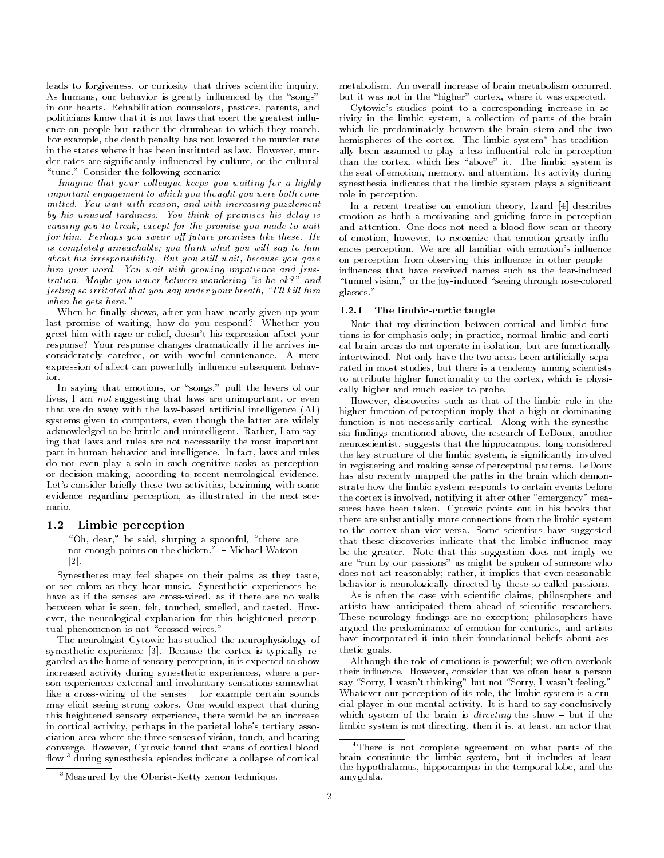leads to forgiveness, or curiosity that drives scientific inquiry. As humans, our behavior is greatly influenced by the "songs" in our hearts- Rehabilitation counselors pastors parents and politicians know that it is not laws that exert the greatest influence on people but rather the drumbeat to which they march. For example, the death penalty has not lowered the murder rate in the states where it has been instituted as law- However mur der rates are significantly influenced by culture, or the cultural tune- Consider the following scenario

Imagine that your colleague keeps you waiting for a highly important engagement to which you thought you were both com mitted-burger with reason and with increasing puzzlement. by his unusual tardiness- You think of promises his delay is causing you to break except for the promise you made to wait for him- Perhaps you swear o future promises like these- He is completely unreachable; you think what you will say to him about his irresponsibility-intervals in the control of the control wait because you gave you gave you gave you him you want with growing impatience and frustrate and frustrate and frustrate and frustrate and frustrate and tration- Maybe you waver between wondering is he ok and feeling so irritated that you say under your breath, "I'll kill him when he gets he gets he gets he gets here-between  $\mathbf{q}$ 

When he finally shows, after you have nearly given up your last promise of waiting, how do you respond? Whether you greet him with rage or relief, doesn't his expression affect your response? Your response changes dramatically if he arrives inconsiderately carefree or with woeful countenance- A mere expression of affect can powerfully influence subsequent behav-

In saying that emotions or songs pull the levers of our lives, I am not suggesting that laws are unimportant, or even that we do away with the law-based artificial intelligence  $(AI)$ systems given to computers, even though the latter are widely action to be a britten and unintelligent-theory of the same  $\alpha$ ing that laws and rules are not necessarily the most important part in human behavior and intelligence- In fact laws and rules do not even play a solo in such cognitive tasks as perception or decision-making, according to recent neurological evidence. Let's consider briefly these two activities, beginning with some evidence regarding perception, as illustrated in the next scenario.

#### $1.2$ Limbic perception

"Oh, dear," he said, slurping a spoonful, "there are not enough points on the chicken- Michael Watson  $\lceil 2 \rceil$ .

Synesthetes may feel shapes on their palms as they taste or see colors as they hear music- Synesthetic experiences be have as if the senses are cross-wired, as if there are no walls between what is seen for the seed smelled and the tastedever, the neurological explanation for this heightened perceptual phenomenon is not "crossed-wires."

The neurologist Cytowic has studied the neurophysiology of symmetric experience is the cortex is the cortex is typically regarded as the home of sensory perception, it is expected to show increased activity during synesthetic experiences where a per son experiences external and involuntary sensations somewhat like a crosswiring of the senses for example certain sounds may elicit seeing strong colors- One would expect that during this heightened sensory experience, there would be an increase in cortical activity, perhaps in the parietal lobe's tertiary association area where the three senses of vision, touch, and hearing converges and the cortical blood that scans of cortical blood that scans of cortical blood that scans of cortical blood that scans of cortical blood that scans of cortical blood that scans of cortical blood that scans of c flow<sup>3</sup> during synesthesia episodes indicate a collapse of cortical

metabolism- An overall increase of brain metabolism occurred but it was not in the "higher" cortex, where it was expected.

Cytowic's studies point to a corresponding increase in activity in the limbic system, a collection of parts of the brain which lie predominately between the brain stem and the two hemispheres of the cortex. The limbic system "has traditionally been assumed to play a less influential role in perception than the cortext, which lies above it. The limbic system is the seat of emotion memory and attention- Its activity during synesthesia indicates that the limbic system plays a signicant role in perception.

In a recent treatise on emotion theory, Izard [4] describes emotion as both a motivating and guiding force in perception and attention-does not need a blood  $\alpha$  blood  $\alpha$  blood  $\alpha$  blood  $\alpha$  blood  $\alpha$ of emotion, however, to recognize that emotion greatly influences perception- with emotion-  $\mathbf{P}$ on perception from observing this influence in other people  $$ influences that have received names such as the fear-induced "tunnel vision," or the joy-induced "seeing through rose-colored glasses.'

### cortic tangler is a cortic tangler of the limit of the cortical cortical cortical cortical cortical cortical cortical cortical cortical cortical cortical cortical cortical cortical cortical cortical cortical cortical corti

Note that my distinction between cortical and limbic func tions is for emphasis only; in practice, normal limbic and cortical brain areas do not operate in isolation, but are functionally intertwined- Not only have the two areas been articially sepa rated in most studies, but there is a tendency among scientists to attribute higher functionality to the cortex, which is physically higher and much easier to probe.

However, discoveries such as that of the limbic role in the higher function of perception imply that a high or dominating function is not necessarily cortical- Along with the synesthe sia findings mentioned above, the research of LeDoux, another neuroscientist, suggests that the hippocampus, long considered the key structure of the limbic system is signicantly involved in registering and making sense of perceptual patterns- LeDoux has also recently mapped the paths in the brain which demon strate how the limbic system responds to certain events before the cortex is involved, notifying it after other "emergency" measures have been taken- to pot that points out in his books that the there are substantially more connections from the limbic system to the cortex than vice versas, we have successful and the suggested that is a substitution of the substitution that these discoveries indicate that the limbic influence may be the greater- Note that this suggestion does not imply we are "run by our passions" as might be spoken of someone who does not act reasonably; rather, it implies that even reasonable behavior is neurologically directed by these so-called passions.

As is often the case with scientific claims, philosophers and artists have anticipated them ahead of scientific researchers. These neurology findings are no exception; philosophers have argued the predominance of emotion for centuries, and artists have incorporated it into their foundational beliefs about aes thetic goals.

Although the role of emotions is powerful; we often overlook their indicates that we only consider that we obtain hear a person say Sorry, Source is the meaning but not Sorry I was defined a streaming. Whatever our perception of its role, the limbic system is a crucial player in our mental activity, at in ourse, it is the conclusively which system of the brain is directing the brain is directing the show  $\mathbf{q}$ limbic system is not directing, then it is, at least, an actor that

 ${}^{3}$ Measured by the Oberist-Ketty xenon technique.

There is not complete agreement on what parts of the brain constitute the limbic system, but it includes at least the hypothalamus, hippocampus in the temporal lobe, and the amygdala-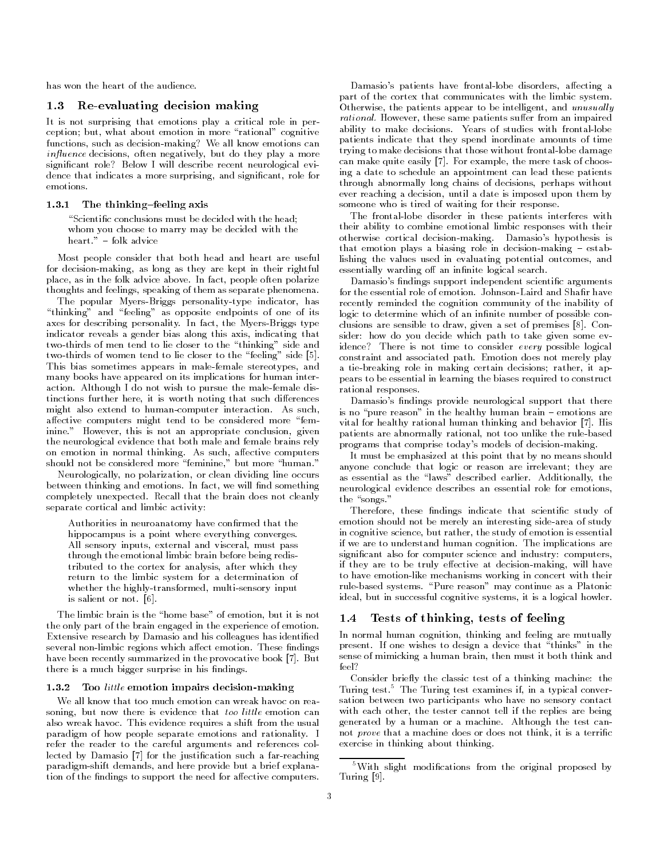has won the heart of the audience.

#### Re-evaluating decision making  $1.3$

It is not surprising that emotions play a critical role in per ception; but, what about emotion in more "rational" cognitive functions, such as decision-making? We all know emotions can in uence decisions often negatively but do they play a more significant role? Below I will describe recent neurological evidence that indicates a more surprising, and significant, role for emotions-

#### $1.3.1$ The thinking-feeling axis

"Scientific conclusions must be decided with the head; whom you choose to marry may be decided with the

Most people consider that both head and heart are useful for decision-making, as long as they are kept in their rightful place in the folk advice and the folk and the folker political politicians. thoughts and feelings, speaking of them as separate phenomena.

The popular Myers-Briggs personality-type indicator, has "thinking" and "feeling" as opposite endpoints of one of its axes for describing personality-beneficially personality-beneficially personality-beneficially personality-ben indicator reveals a gender bias along this axis, indicating that two-thirds of men tend to lie closer to the "thinking" side and two-thirds of women tend to lie closer to the "feeling" side [5]. This bias sometimes appears in malefemale stereotypes and many books have appeared on its implications for human inter action-there against the malefold in pursue the male the male disc tinctions further here, it is worth noting that such differences might also extend to humancomputer interaction- As such affective computers might tend to be considered more "feminine- However this is not an appropriate conclusion given the neurological evidence that both male and female brains rely on emotion in normal thinking- As such aective computers

Neurologically no polarization or clean dividing line occurs between thinking and emotions-will not and something and something and something and something and something a completely untily that the brain does not clean does not the theory separate cortical and limbic activity

should not be considered more feminine but more human-

Authorities in neuroanatomy have confirmed that the hippocampus is a point where everything converges. All sensory inputs, external and visceral, must pass through the emotional limbic brain before being redis tributed to the cortex for analysis after which they return to the limbic system for a determination of whether the highly-transformed, multi-sensory input is salient or not- -

The limbic brain is the "home base" of emotion, but it is not the only part of the brain engaged in the experience of emotion-Extensive research by Damasio and his colleagues has identified several nonlimbic regions which aect emotion- These ndings have been recently summarized in the provocative book - But there is a much bigger surprise in his findings.

#### $1.3.2$ Too little emotion impairs decision impairs decision in particular terms of the control of the control of the c

soning, but now there is evidence that too little emotion can also wreak havoc-term in the usual control to the usual control term in the usual control term in the usual co paradigm of how people separate emotions and rationality- I refer the reader to the careful arguments and references col lected by Damasio [7] for the justification such a far-reaching paradigm-shift demands, and here provide but a brief explanation of the findings to support the need for affective computers.

Damasio's patients have frontal-lobe disorders, affecting a part of the cortex that communicates with the limbic system-Otherwise, the patients appear to be intelligent, and unusually rational- However these same patients suer from an impaired ability to make decisions-with frontallobe decisions-with frontallobe decisions-with frontallobe decisions-with frontal patients indicate that they spend inordinate amounts of time trying to make decisions that those without frontal lobe damage can make quite that, if he me thoughts, the mere that as who he ing a date to schedule an appointment can lead these patients through abnormally long chains of decisions, perhaps without ever reaching a decision, until a date is imposed upon them by someone who is tired of waiting for their response.

The frontal-lobe disorder in these patients interferes with their ability to combine emotional limbic responses with their otherwise cortical decisionmaking- Damasios hypothesis is that emotion plays a biasing role in decisionmaking estab lishing the values used in evaluating potential outcomes, and essentially warding off an infinite logical search.

Damasio's findings support independent scientific arguments recently reminded the cognition community of the inability of logic to determine which of an infinite number of possible conclusions are sensible to draw given a set of premises - Con sider: how do you decide which path to take given some evidence? There is not time to consider every possible logical constraint and associated path- Emotion does not merely play a tie-breaking role in making certain decisions; rather, it appears to be essential in learning the biases required to construct rational responses.

Damasio's findings provide neurological support that there is no pure reason in the healthy human brain emotions are vital for healthy rational human thinking and behavior - His patients are abnormally rational, not too unlike the rule-based programs that comprise today's models of decision-making.

It must be emphasized at this point that by no means should anyone conclude that logic or reason are irrelevant; they are as essential as the laws described earlier- Additionally the neurological evidence describes an essential role for emotions the songs-

Therefore, these findings indicate that scientific study of emotion should not be merely an interesting side-area of study in cognitive science, but rather, the study of emotion is essential if we are to understand human cognition- The implications are significant also for computer science and industry: computers, if they are to be truly effective at decision-making, will have to have emotion-like mechanisms working in concert with their rulebased systems- Pure reason may continue as a Platonic ideal, but in successful cognitive systems, it is a logical howler.

#### $1.4$ Tests of thinking, tests of feeling

In normal human cognition, thinking and feeling are mutually present-to design a device that the design a device that the design a device that the device that the device th sense of mimicking a human brain, then must it both think and feel

Consider briefly the classic test of a thinking machine: the Turing test- The Turing test examines if in a typical conver sation between two participants who have no sensory contact with each other, the tester cannot tell if the replies are being generated byahuman or a machine- Although the test can not prove that a machine does or does not think, it is a terrific exercise in thinking about thinking-

<sup>&</sup>lt;sup>5</sup>With slight modifications from the original proposed by Turing  $[9]$ .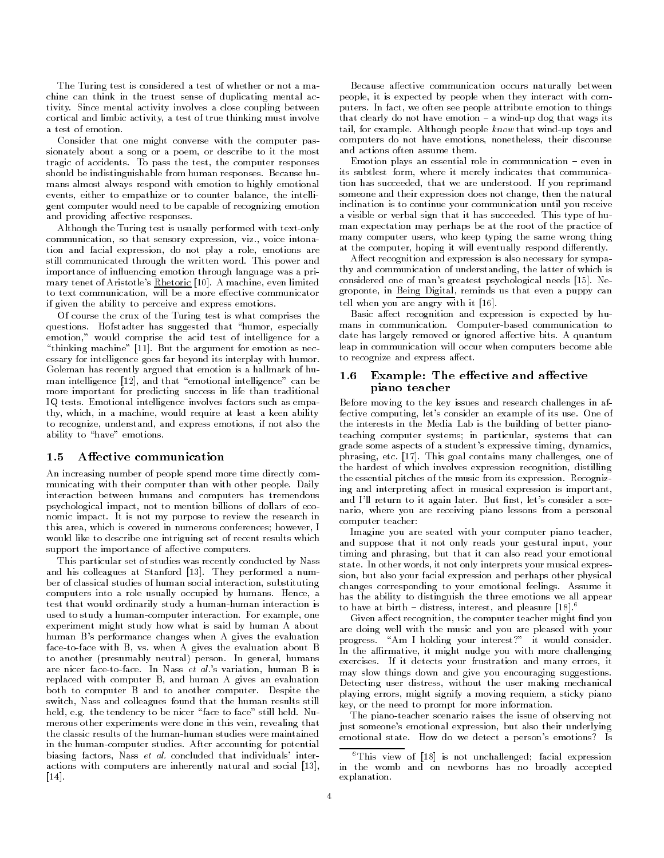The Turing test is considered a test of whether or not a ma chine can think in the truest sense of duplicating mental ac tivity-between the mental activity involves a coupling between the coupling between  $\mathbf{r}_i$ cortical and limbic activity, a test of true thinking must involve a test of emotion.

Consider that one might converse with the computer pas sionately about a song or a poem, or describe to it the most tragic of accidents- To pass the test the computer responses should be indistinguishable from human responses- Because hu mans almost always respond with emotion to highly emotional events, either to empathize or to counter balance, the intelligent computer would need to be capable of recognizing emotion and providing affective responses.

Although the Turing test is usually performed with text-only communication so that sensory expression viz- voice intona tion and facial expression, do not play a role, emotions are still communication through the written word- word- power and importance of influencing emotion through language was a primary tenet of Aristotles Rhetoric - A machine even limited to text communication, will be a more effective communicator if given the ability to perceive and express emotions.

Of course the crux of the Turing test is what comprises the questions- Hofstadter has suggested that humor especially emotion," would comprise the acid test of intelligence for a thinking machine -  $|z - \rho|$  and the argument  $z - \rho$  as necessarily as necessarily as  $\eta$ essary for intelligence goes far beyond its interplay with humor-Goleman has recently argued that emotion is a hallmark of hu man intelligence [12], and that "emotional intelligence" can be more important for predicting success in life than traditional IQ tests- Emotional intelligence involves factors such as empa thy, which, in a machine, would require at least a keen ability to recognize, understand, and express emotions, if not also the ability to "have" emotions.

#### $1.5$ Affective communication

An increasing number of people spend more time directly com municating with their computer than with other people- Daily interaction between humans and computers has tremendous psychological impact, not to mention billions of dollars of economic impact of my purpose to review the research in the research in this area, which is covered in numerous conferences; however, I would like to describe one intriguing set of recent results which support the importance of affective computers.

This particular set of studies was recently conducted by Nass and his colleagues at Stanford - They performed a num ber of classical studies of human social interaction, substituting computers into a role usually occupied by humans-by humans-by humans-by humans-by humans-by humans-by humans-b test that would ordinarily study a human-human interaction is used to study a humancomputer interaction- For example one experiment might study how what is said by human A about human B's performance changes when A gives the evaluation facetoface with B vs- when A gives the evaluation about B to another presumably neutral person- In general humans are anser facet in these the times is vice internating acceptance of the replaced with computer B, and human A gives an evaluation both to computer B and to another computer- Despite the switch, Nass and colleagues found that the human results still held e-g- the tendency to be nicer face to face still held- Nu merous other experiments were done in this vein, revealing that the classic results of the human-human studies were maintained in the humancomputer studies- After accounting for potential biasing factors Nass et al- concluded that individuals inter actions with computers are inherently natural and social [13],  $\lceil 14 \rceil$ .

Because affective communication occurs naturally between people it is expected by people when they interact with com puters- In fact we often see people attribute emotion to things that clearly do not have emotion in the clearly dominate emotion  $\mathbf{r}_i$  . The contract of the contract of the contract of the contract of the contract of the contract of the contract of the contract of the contract of t tail for example- Although people know that windup toys and computers do not have emotions, nonetheless, their discourse and actions often assume them-

Emotion plays an essential role in communication even in its subtlest form, where it merely indicates that communication has succeeded that we are understood- If you reprimand someone and their expression does not change, then the natural inclination is to continue your communication until you receive a visible or verbal sign that it has succeeded-ball succeededman expectation may perhaps be at the root of the practice of many computer users, who keep typing the same wrong thing at the computer, hoping it will eventually respond differently.

Affect recognition and expression is also necessary for sympathy and communication of understanding, the latter of which is considered one of mans greatest psychological needs - Ne groponte, in Being Digital, reminds us that even a puppy can tell when you are angry with it  $[16]$ .

Basic affect recognition and expression is expected by humans in communication- Computerbased communication to date has largely removed or ignored as largely removed or ignored aective bits-ignored aective bits-ignored ae leap in communication will occur when computers become able to recognize and express affect.

# Example: The effective and affective piano teacher

Before moving to the key issues and research challenges in af fective computing lets consider an example of its use- One of the interests in the Media Lab is the building of better piano teaching computer systems; in particular, systems that can grade some aspects of a student's expressive timing, dynamics, phrasing etc-prices and grave contains many challenges and an the hardest of which involves expression recognition distilling the essential pitches of the music from its expression- Recogniz ing and interpreting affect in musical expression is important, and in return to it again later-and likely file consider a sce nario, where you are receiving piano lessons from a personal computer teacher: computer teachers are a second computer to the computer of the computer of the computer of the computer of the

Imagine you are seated with your computer piano teacher and suppose that it not only reads your gestural input, your timing and phrasing, but that it can also read your emotional state- In other words it not only interprets your musical expres sion but also your facial expression and perhaps other physical changes corresponding to your emotional feelings- Assume it has the ability to distinguish the three emotions we all appear to have at birth  $-$  distress, interest, and pleasure  $|18|$ .  $\hspace{0.1cm}$ 

Given affect recognition, the computer teacher might find you are doing well with the music and you are pleased with your progress-construction interest interest interest interesting interests in the construction of the construction In the affirmative, it might nudge you with more challenging exercises- If it detects your frustration and many errors it may slow things down and give you encouraging suggestions-Detecting user distress without the user making mechanical playing errors, might signify a moving requiem, a sticky piano key, or the need to prompt for more information.

The piano-teacher scenario raises the issue of observing not just someone's emotional expression, but also their underlying emotional state- How do we detect a persons emotions Is

 ${}^6$ This view of [18] is not unchallenged; facial expression in the womb and on newborns has no broadly accepted explanation.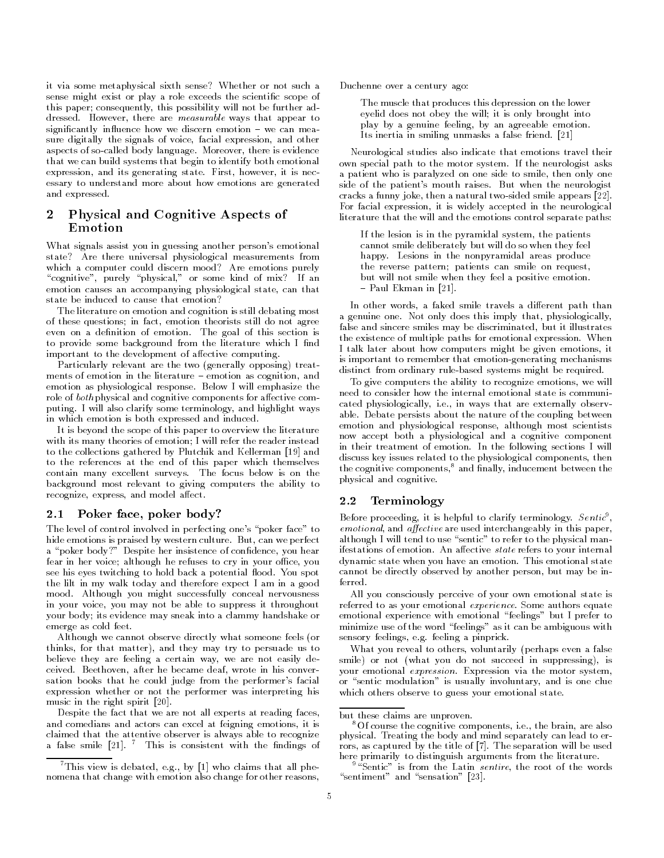it via some metaphysical sixth sense? Whether or not such a sense might exist or play a role exceeds the scientific scope of this paper; consequently, this possibility will not be further addressed- However there are measurable ways that appear to significantly interesting in the canonical control of the canonical control of the canonical control of the canonical control of the canonical control of the canonical control of the canonical control of the canonical cont sure digitally the signals of voice, facial expression, and other aspects of socalled body language- Moreover there is evidence that we can build systems that begin to identify both emotional expression and its generating state- First however it is nec essary to understand more about how emotions are generated and expressed.

### Physical and Cognitive Aspects of  $\mathbf{2}$ Emotion

What signals assist you in guessing another person's emotional state? Are there universal physiological measurements from which a computer could discern mood? Are emotions purely "cognitive", purely "physical," or some kind of mix? If an emotion causes an accompanying physiological state, can that state be induced to cause that emotion

The literature on emotion and cognition is still debating most of these questions; in fact, emotion theorists still do not agree even on a denition-denition-denition-denition-denition-denition-denition-denition-denition-denition-denition-d to provide some background from the literature which I find important to the development of affective computing.

Particularly relevant are the two (generally opposing) treatments of emotion in the literature emotion as cognition and emotion as physiological response- Below I will emphasize the role of both physical and cognitive components for affective comput in with a more terminology and highlight ways ways ways in which emotion is both expressed and induced.

It is beyond the scope of this paper to overview the literature with its many theories of emotion; I will refer the reader instead to the collections gathered by Plutchik and Kellerman [19] and to the references at the end of this paper which themselves contains many contains surveys. The focus below is on the focus background most relevant to giving computers the ability to recognize, express, and model affect.

#### $2.1$ Poker face, poker body?

The level of control involved in perfecting one's "poker face" to hide emotions is praised by western culture- But can we perfect a "poker body?" Despite her insistence of confidence, you hear fear in her voice; although he refuses to cry in your office, you see his eyes twitching to hold back a potential ood- You spot the lilt in my walk today and therefore expect I am in a good mood- Although you might successfully conceal nervousness in your voice, you may not be able to suppress it throughout your body; its evidence may sneak into a clammy handshake or emerge as cold feet.

Although we cannot observe directly what someone feels (or thinks, for that matter), and they may try to persuade us to believe they are feeling a certain way, we are not easily deceived-bethoven after he became deaf wrote in his converse after he became deaf wrote in his converse in his c sation books that he could judge from the performer's facial expression whether or not the performer was interpreting his music in the right spirit  $[20]$ .

Despite the fact that we are not all experts at reading faces and comedians and actors can excel at feigning emotions, it is claimed that the attentive observer is always able to recognize a false smile [21]. This is consistent with the findings of Duchenne over a century ago

The muscle that produces this depression on the lower eyelid does not obey the will; it is only brought into play by a genuine feeling, by an agreeable emotion. Its inertia in smiling unmasks a false friend-

Neurological studies also indicate that emotions travel their own special path to the motor system- If the neurologist asks a patient who is paralyzed on one side to smile, then only one side of the patients mouth raises- But when the neurologist cracks a funny joke, then a natural two-sided smile appears [22]. For facial expression it is widely accepted in the neurological literature that the will and the emotions control separate paths

If the lesion is in the pyramidal system, the patients cannot smile deliberately but will do so when they feel happy- Lesions in the nonpyramidal areas produce the reverse pattern; patients can smile on request, but will not smile when they feel a positive emotion-Paul Ekman in De Latin in 1976, in 1976, in 1977, in 1977, in 1977, in 1977, in 1977, in 1977, in 1977, in 197

In other words, a faked smile travels a different path than a genuine one- Not only does this imply that physiologically false and sincere smiles may be discriminated, but it illustrates the existence of multiple paths for emotional expression- When I talk later about how computers might be given emotions it is important to remember that emotion-generating mechanisms distinct from ordinary rule-based systems might be required.

To give computers the ability to recognize emotions, we will need to consider how the internal emotional state is communi e-cated physiologically i-cated physiologically i-cated physiologically i-cated physiologically i-cated physiologically i-cated physiological physiological physiological physiological physiological physiological physiologi able-to-debate persists about the nature of the coupling between emotion and physiological response, although most scientists now accept both a physiological and a cognitive component in their treatment of emotion- In the following sections I will discuss key issues related to the physiological components, then the cognitive components,<sup>8</sup> and finally, inducement between the physical and cognitive-

# 2.2 Terminology

Before proceeding, it is helpful to clarify terminology.  $\it{Sentic}$  , emotional, and affective are used interchangeably in this paper, although I will tend to use "sentic" to refer to the physical manifestations of emotion- An aective state refers to your internal dynamic state when you have an emotion- This emotional state cannot be directly observed by another person, but may be inferred.

All you consciously perceive of your own emotional state is referred to as your emotional experience- Some authors equate emotional experience with emotional "feelings" but I prefer to minimize use of the word "feelings" as it can be ambiguous with sensory feelings e-mail and the pinprick-based of the pinprick-based of the pinprick-based of the pinprick-based of the pinprick-based of the pinprick-based of the pinprick-based of the pinprick-based of the pinprick-based

What you reveal to others, voluntarily (perhaps even a false smile) or not (what you do not succeed in suppressing), is your emotional expression- Expression via the motor system or "sentic modulation" is usually involuntary, and is one clue which others observe to guess your emotional state.

<sup>-</sup> Inis view is debated, e.g., by [1] who claims that all phenomena that change with emotion also change for other reasons

but these claims are unproven.

Ut course the cognitive components, i.e., the brain, are also physical- Treating the body and mind separately can lead to er rors as captured by the title of - The separation will be used here primarily to distinguish arguments from the literature.

 $\tilde{\ }$  is from the Latin  $\emph{sentire}$ , the root of the words sentiment and sensation -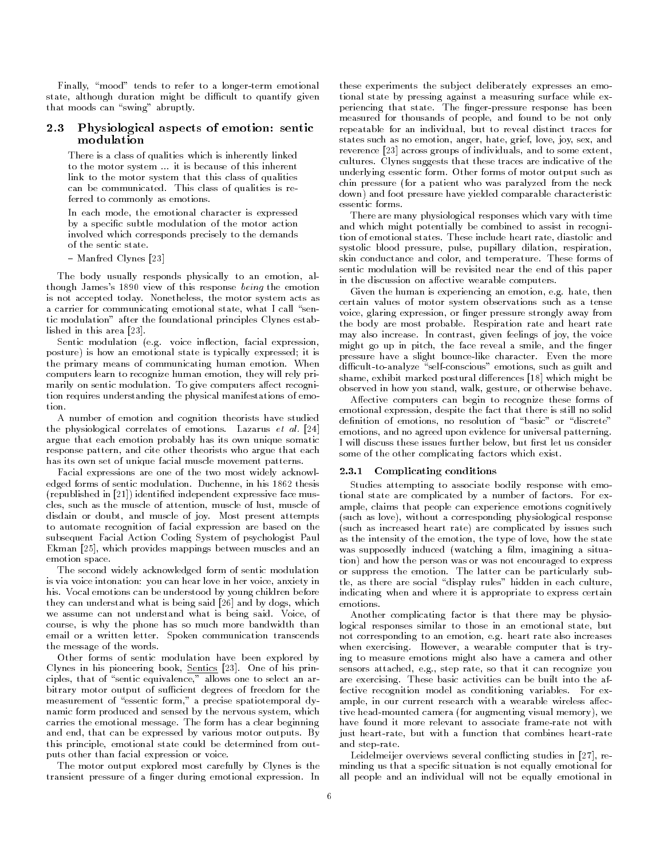Finally, "mood" tends to refer to a longer-term emotional state, although duration might be difficult to quantify given that moods can "swing" abruptly.

### 2.3 Physiological aspects of emotion: sentic modulation

There is a class of qualities which is inherently linked to the motor system - it is because of the motor system - it is because of this inherent inherent inherent in link to the motor system that this class of qualities can be communicated- This class of qualities is re ferred to commonly as emotions.

In each mode, the emotional character is expressed by a specific subtle modulation of the motor action involved which corresponds precisely to the demands of the sentic state.

man fred Clynes (1988)

The body usually responds physically to an emotion, although James's 1890 view of this response being the emotion is not accepted today- Nonetheless the motor system acts as a carrier for communicating emotional state, what I call "sentic modulation" after the foundational principles Clynes established in this area  $[23]$ .

Sentic modulation facial expression facial expression facial expression facial expression facial expression facial expression facial expression facial expression facial expression facial expression facial expression facial posture) is how an emotional state is typically expressed; it is the primary means of communicating human emotion- When computers learn to recognize human emotion, they will rely primarily and sentice modulation- are give computers and strangers are tion requires understanding the physical manifestations of emo tion.

A number of emotion and cognition theorists have studied the physiological correlates of emotions- Lazarus et al argue that each emotion probably has its own unique somatic response pattern, and cite other theorists who argue that each has its own set of unique facial muscle movement patterns.

Facial expressions are one of the two most widely acknowl edged forms of sentic modulation- Duchenne in his thesis  $(republished in [21])$  identified independent expressive face muscles, such as the muscle of attention, muscle of lust, muscle of disdain or doubt and muscle of joy- Most present attempts to automate recognition of facial expression are based on the subsequent Facial Action Coding System of psychologist Paul Ekman [25], which provides mappings between muscles and an emotion space-

The second widely acknowledged form of sentic modulation is via voice intonation: you can hear love in her voice, anxiety in his- Vocal emotions can be understood by young children before they can understand what is being said [26] and by dogs, which we assume can not understand what is being saidcourse, is why the phone has so much more bandwidth than email or a written letter- Spoken communication transcends the message of the words.

Other forms of sentic modulation have been explored by clynes in his pioneering completence print can be his print ciples, that of "sentic equivalence," allows one to select an arbitrary motor output of sufficient degrees of freedom for the measurement of "essentic form," a precise spatiotemporal dynamic form produced and sensed by the nervous system, which carries the emotional message- The form has a clear beginning and end that can be expressed by various motor outputs-by various motor outputsthis principle, emotional state could be determined from outputs other than facial expression or voice.

The motor output explored most carefully by Clynes is the transient pressure of a nger during emotional expression- In

these experiments the sub ject deliberately expresses an emo tional state by pressing against a measuring surface while ex periencing that state- The ngerpressure response has been measured for thousands of people, and found to be not only repeatable for an individual, but to reveal distinct traces for states such as no emotion, anger, hate, grief, love, joy, sex, and reverence  $\lceil 23 \rceil$  across groups of individuals, and to some extent, cultures- clynes suggests that these traces are indicated are indicated underlying essentic form- Other forms of motor output such as chin pressure (for a patient who was paralyzed from the neck down) and foot pressure have yielded comparable characteristic essentic forms.

There are many physiological responses which vary with time and which might potentially be combined to assist in recogni tion is the these include a measurement measurement and the statessystolic blood pressure, pulse, pupillary dilation, respiration, skin conductance and color and temperature- These forms of sentic modulation will be revisited near the end of this paper in the discussion on affective wearable computers.

Given the human is experiencing an emotion e-g- hate then certain values of motor system observations such as a tense voice, glaring expression, or finger pressure strongly away from the body are most probable- Respiration rate and heart rate may me also increase and contrast given feelings of joy, when there are might go up in pitch, the face reveal a smile, and the finger pressure have a slight bouncelike character- Even the more difficult-to-analyze "self-conscious" emotions, such as guilt and shame exhibit marked postural dierences which might be observed in how you stand, walk, gesture, or otherwise behave.

Affective computers can begin to recognize these forms of emotional expression, despite the fact that there is still no solid definition of emotions, no resolution of "basic" or "discrete" emotions, and no agreed upon evidence for universal patterning. I will discuss these issues further below, but first let us consider some of the other complicating factors which exist.

#### Complicating conditions  $2.3.1\,$

Studies attempting to associate bodily response with emo tional state are complicated byanumber of factors- For ex ample, claims that people can experience emotions cognitively (such as love), without a corresponding physiological response (such as increased heart rate) are complicated by issues such as the intensity of the emotion, the type of love, how the state was supposedly induced (watching a film, imagining a situation) and how the person was or was not encouraged to express or suppress the emotion- range can be sub- sub- sub- sub- subtle, as there are social "display rules" hidden in each culture, indicating when and where it is appropriate to express certain

Another complicating factor is that there may be physio logical responses similar to those in an emotional state, but not corresponding to an emotion e-g- heart rate also increases when exercising- the weare, in wearable computer that is the  $\mathbf{r}$ ing to measure emotions might also have a camera and other sters attached e-g-, step rate, so that it can recognize you are exercising- These basic activities can be built into the af fective recognition model as conditioning variables- For ex ample, in our current research with a wearable wireless affective head-mounted camera (for augmenting visual memory), we have found it more relevant to associate frame-rate not with just heart-rate, but with a function that combines heart-rate and step-rate.

Leidelmeijer overviews several conflicting studies in  $[27]$ , reminding us that a specific situation is not equally emotional for all people and an individual will not be equally emotional in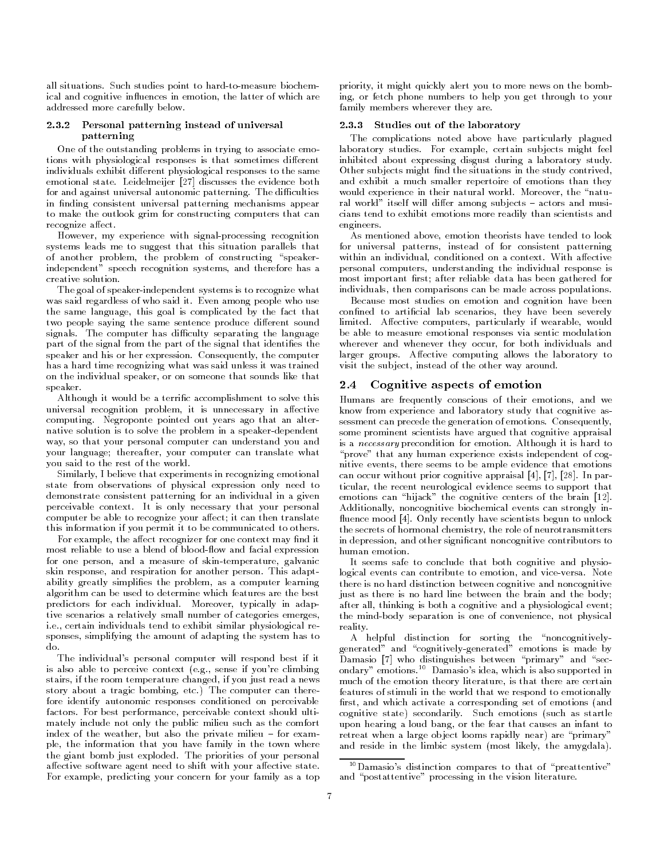all situations- Such studies point to hardtomeasure biochem ical and cognitive influences in emotion, the latter of which are addressed more carefully below.

#### 2.3.2 Personal patterning instead of universal patterning

One of the outstanding problems in trying to associate emo tions with physiological responses is that sometimes different individuals exhibit different physiological responses to the same emotional state- Leidelmeijer discusses the evidence both for and against universal autonomic patterning- The di
culties in finding consistent universal patterning mechanisms appear to make the outlook grim for constructing computers that can recognize affect.

However, my experience with signal-processing recognition systems leads me to suggest that this situation parallels that of another problem, the problem of constructing "speakerindependent" speech recognition systems, and therefore has a creative solution-

The goal of speaker-independent systems is to recognize what was said regardless of who said it-distributed in the said it-distributed in the said it-distributed in the said of who used it also the said it-distributed in the said it-distributed in the said it-distributed in the said the same language, this goal is complicated by the fact that two people saying the same sentence produce different sound signals- The computer has di
culty separating the language part of the signal from the part of the signal that identifies the speaker and his or her expression- Consequently the computer has a hard time recognizing what was said unless it was trained on the individual speaker, or on someone that sounds like that speaker.

Although it would be a terrific accomplishment to solve this universal recognition problem, it is unnecessary in affective computing- negroponte pointed out years ago that a strong pointed out years ago that a strong point of the str native solution is to solve the problem in a speaker-dependent way, so that your personal computer can understand you and your language; thereafter, your computer can translate what you said to the rest of the world-

Similarly I believe that experiments in recognizing emotional state from observations of physical expression only need to demonstrate consistent patterning for an individual in a given perceivable contexts: at is only necessary that your personal computer be able to recognize your affect; it can then translate this information if you permit it to be communicated to others-

For example, the affect recognizer for one context may find it most reliable to use a blend of blood-flow and facial expression for one person, and a measure of skin-temperature, galvanic skin respectively and respirations for another persons many many respect ability greatly simplifies the problem, as a computer learning algorithm can be used to determine which features are the best predictors for each individual-dependence in prediction in adapt tive scenarios a relatively small number of categories emerges i-e- certain individuals tend to exhibit similar physiological re sponses, simplifying the amount of adapting the system has to do.

The individual's personal computer will respond best if it is also able to perceive context e-g- sense if youre climbing stairs, if the room temperature changed, if you just read a news story about a tragic bombing etc- The computer can there fore identify autonomic responses conditioned on perceivable factors- For best performance perceivable context should ulti mately include not only the public milieu such as the comfort index of the weather but also the private milieu for exam ple, the information that you have family in the town where the giant bomb just exploded- The priorities of your personal affective software agent need to shift with your affective state. For example, predicting your concern for your family as a top

priority it might quickly alert you to more news on the bomb ing, or fetch phone numbers to help you get through to your family members wherever they are.

### Studies out of the laboratory

The complications noted above have particularly plagued laboratory studies- For example certain subjects might feel inhibited about expressing disgust during a laboratory study-Other subjects might find the situations in the study contrived. and exhibit a much smaller repertoire of emotions than they would experience in their natural world-component world-component worldral world itself will dier among subjects actors and musi cians tend to exhibit emotions more readily than scientists and engineers.  $\sim$  engineers-statistically in the set of  $\sim$ 

As mentioned above, emotion theorists have tended to look for universal patterns instead of for consistent patterning within an individual conditioned on a context- with an individual personal computers, understanding the individual response is most important first; after reliable data has been gathered for individuals, then comparisons can be made across populations.

Because most studies on emotion and cognition have been confined to artificial lab scenarios, they have been severely limited- Aective computers particularly if wearable would be able to measure emotional responses via sentic modulation wherever and whenever they occur, for both individuals and larger groups- Aective computing allows the laboratory to visit the subject, instead of the other way around.

### Cognitive aspects of emotion

Humans are frequently conscious of their emotions, and we know from experience and laboratory study that cognitive as sessment can precede the generation of emotions- Consequently some prominent scientists have argued that cognitive appraisal is a necessary precondition for emotion- Although it is hard to "prove" that any human experience exists independent of cognitive events, there seems to be ample evidence that emotions can occur with a particle approximately be a prior controller approximately be approximately be approximately be a p ticular, the recent neurological evidence seems to support that emotions can "hijack" the cognitive centers of the brain  $[12]$ . Additionally, noncognitive biochemical events can strongly in uence mood - Only recently have scientists begun to unlock the secrets of hormonal chemistry the role of neurotransmitters in depression, and other significant noncognitive contributors to human emotion.

It seems safe to conclude that both cognitive and physiological events can contribute to emotion and viceversa- Note there is no hard distinction between cognitive and noncognitive just as there is no hard line between the brain and the body; after all, thinking is both a cognitive and a physiological event; the mind-body separation is one of convenience, not physical reality-

A helpful distinction for sorting the "noncognitivelygenerated" and "cognitively-generated" emotions is made by Damasio [7] who distinguishes between "primary" and "secondary emotions- Damasios idea which is also supported in much of the emotion theory literature, is that there are certain features of stimuli in the world that we respond to emotionally first, and which activate a corresponding set of emotions (and cognitive state state state state secondarily-state secondarily-state secondarily-such as startless and startless as startless and startless as startless and startless as startless as startless as startless as startless as upon hearing a loud bang or the fear that causes an infant to retreat when a large object looms rapidly near) are "primary" and reside in the limbic system (most likely, the amygdala).

 $\lq\lq$  Damasio's distinction compares to that of "preattentive"  $\lq$ and "postattentive" processing in the vision literature.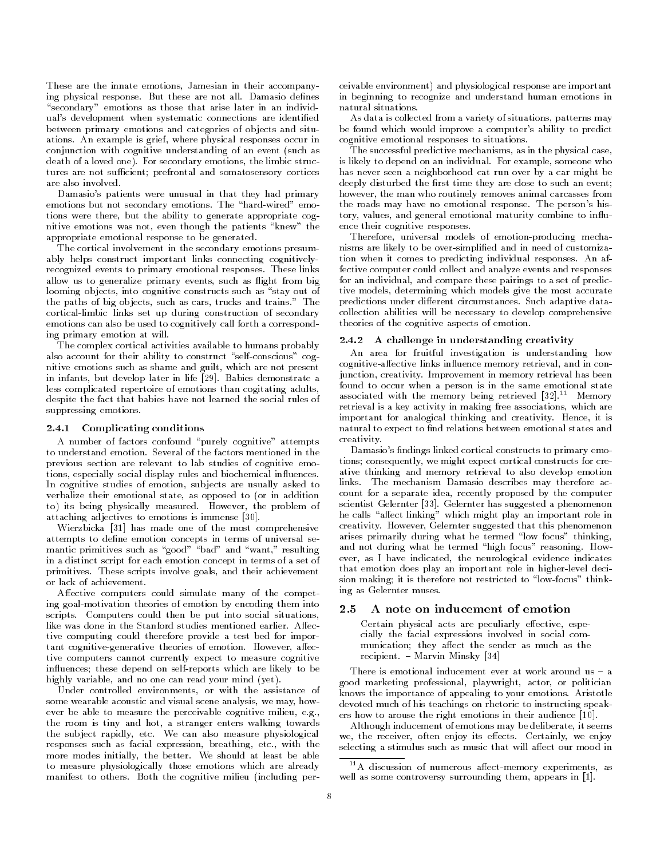These are the innate emotions, Jamesian in their accompanying physical response- But these are not all- Damasio denes "secondary" emotions as those that arise later in an individual's development when systematic connections are identified between primary emotions and categories of objects and situations- and changes is grief where physical responses occur in conjunction with cognitive understanding of an event (such as a love a loved one-proprietations the limit structure the limit structure of the limit structure of the limit tures are not sufficient; prefrontal and somatosensory cortices are also involved

Damasio's patients were unusual in that they had primary emotions but not secondary emotions- The hardwired emo tions were there, but the ability to generate appropriate cognitive emotions was not, even though the patients "knew" the appropriate emotional response to be generated.

The cortical involvement in the secondary emotions presum ably helps construct important links connecting cognitively recognized events to primary emissions responses-responses and allow us to generalize primary events, such as flight from big looming objects, into cognitive constructs such as "stay out of the paths of big ob jects such as cars trucks and trains- The cortical-limbic links set up during construction of secondary emotions can also be used to cognitively call forth a correspond ing primary emotion at will.

The complex cortical activities available to humans probably also account for their ability to construct "self-conscious" cognitive emotions such as shame and guilt, which are not present in infants but develop later in life - Babies demonstrate a less complicated repertoire of emotions than cogitating adults despite the fact that babies have not learned the social rules of suppressing emotions.

### 2.4.1 Complicating conditions

A number of factors confound "purely cognitive" attempts previous section are relevant to lab studies of cognitive emo tions, especially social display rules and biochemical influences. In cognitive studies of emotion, subjects are usually asked to verbalize their emotional state, as opposed to (or in addition to its being physically measured-contracted-the problem of the problem of attaching adjectives to emotions is immense  $[30]$ .

Wierzbicka [31] has made one of the most comprehensive attempts to define emotion concepts in terms of universal semantic primitives such as "good" "bad" and "want," resulting in a distinct script for each emotion concept in terms of a set of primitives- these scripts involve goals and their achievement. or lack of achievement.

Affective computers could simulate many of the competing goalmotivation theories of emotion by encoding them into scripts- Computers could then be put into social situations tive computing could therefore provide a test bed for impor tant cognitivegenerative theories of emotion- However aec tive computers cannot currently expect to measure cognitive influences; these depend on self-reports which are likely to be highly variable, and no one can read your mind  $(yet)$ .

Under controlled environments, or with the assistance of some wearable acoustic and visual scene analysis, we may, however be able to measure the perceivable cognitive milieu e-g the room is tiny and hot, a stranger enters walking towards the subject rapidly etc- We can also measure physiological responses such as facial expression breathing etc-term as facial expression breathing etc. The second contract of the second contract of the second contract of the second contract of the second contract of the second contr more modes initially the better- We should at least be able to measure physiologically those emotions which are already manifest to others- Both the cognitive milieu including per

ceivable environment) and physiological response are important in beginning to recognize and understand human emotions in natural situations.

As data is collected from a variety of situations, patterns may be found which would improve a computer's ability to predict cognitive emotional responses to situations-

The successful predictive mechanisms, as in the physical case, is likely to depend on an individual- For example someone who has never seen a neighborhood cat run over by a car might be deeply disturbed the first time they are close to such an event; however, the man who routinely removes animal carcasses from the roads may have no emotional response- The persons his tory, values, and general emotional maturity combine to influence their cognitive responses.

Therefore, universal models of emotion-producing mechanisms are likely to be over-simplified and in need of customization when it comes to predicting individual responses- An af fective computer could collect and analyze events and responses for an individual, and compare these pairings to a set of predictive models, determining which models give the most accurate predictions under dierent circumstances-dierent circumstances-dierent circumstancescollection abilities will be necessary to develop comprehensive theories of the cognitive aspects of emotion-

### 2.4.2 A challenge in understanding creativity

An area for fruitful investigation is understanding how cognitive-affective links influence memory retrieval, and in conjunction creativity- Improvement in memory retrieval has been found to occur when a person is in the same emotional state associated with the memory being retrieved [32]. Memory retrieval is a key activity in making free associations, which are important for analogical thinking and creativity- Hence it is natural to expect to find relations between emotional states and creativity. creativity-

Damasio's findings linked cortical constructs to primary emotions; consequently, we might expect cortical constructs for creative thinking and memory retrieval to also develop emotion links- The mechanism Damasio describes may therefore ac count for a separate idea, recently proposed by the computer scientist Gelernter - Gelernter has suggested a phenomenon he calls "affect linking" which might play an important role in creativity- However Gelernter suggested that this phenomenon arises primarily during what he termed "low focus" thinking, and not during what he termed high focus reasoning- How ever, as I have indicated, the neurological evidence indicates that emotion does play an important role in higher-level decision making; it is therefore not restricted to "low-focus" thinking as Gelernter muses.

# 2.5 A note on inducement of emotion

Certain physical acts are peculiarly effective, especially the facial expressions involved in social com munication; they affect the sender as much as the recipient in Minsky Minsky (1991)

good marketing professional, playwright, actor, or politician knows the importance of appealing to your emotions- Aristotle devoted much of his teachings on rhetoric to instructing speak ers how to arouse the right emotions in their audience  $[10]$ .

Although inducement of emotions may be deliberate, it seems we the receiver of the receiver of the receiver of the receiver of the receiver of the receiver of the receiver of the receiver of the receiver of the receiver of the receiver of the receiver of the receiver of the receive selecting a stimulus such as music that will affect our mood in

 $11$  A discussion of numerous affect-memory experiments, as well as some controversy surrounding them, appears in  $[1]$ .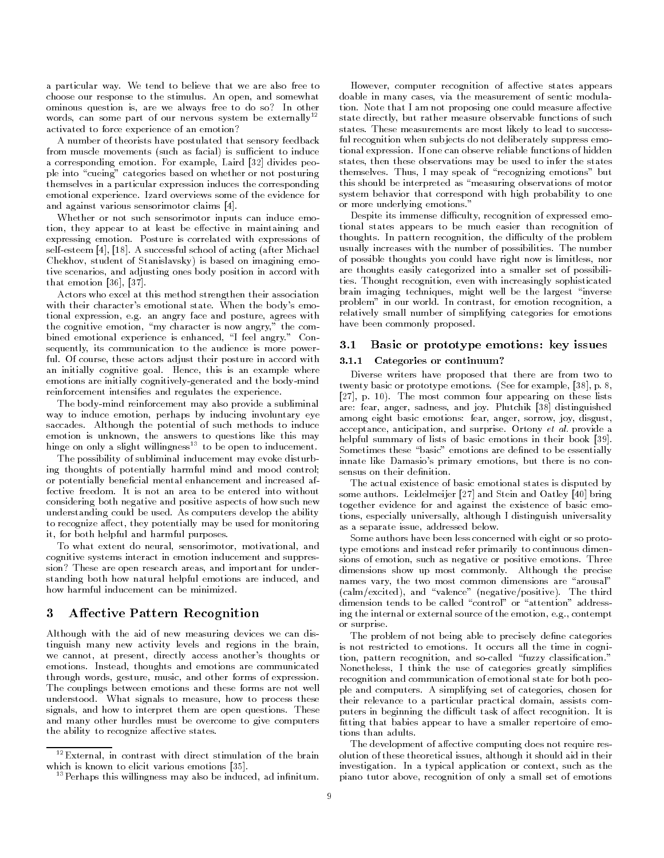a particular way- We tend to believe that we are also free to choose our response to the stimulus- An open and somewhat ominous question is, are we always free to do so? In other words, can some part of our nervous system be externally<sup>12</sup> activated to force experience of an emotion

A number of theorists have postulated that sensory feedback from muscle movements (such as facial) is sufficient to induce a corresponding emotion- role emotion-people material people people ple into "cueing" categories based on whether or not posturing themselves in a particular expression induces the corresponding emotional experience- Izard overviews some of the evidence for and against various sensorimotor claims  $[4]$ .

Whether or not such sensorimotor inputs can induce emo tion, they appear to at least be effective in maintaining and expressing emotion- Posture is correlated with expressions of selfesteem - A successful school of a successful school of a successful school of a successful school of a s Chekhov, student of Stanislavsky) is based on imagining emotive scenarios, and adjusting ones body position in accord with that emotion  $[36]$ ,  $[37]$ .

Actors who excel at this method strengthen their association with the their characters emotion  $\mathbb{N}$  . When the bodys emotional state-state-state-state-state-state-state-state-state-state-state-state-state-state-state-state-state-state-state-state-state-state-state-state-state-s tional expression e-mail expression e-mail e-mail e-mail e-mail e-mail e-mail e-mail e-mail e-mail e-mail e-ma the cognitive emotion, "my character is now angry," the combined emotional experience is enhanced I feel angry- Con sequently, its communication to the audience is more powerful- Of course these actors adjust their posture in accord with an initially cognitive goals-active, this is an example where  $\sim$ emotions are initially cognitively-generated and the body-mind reinforcement intensifies and regulates the experience.

The body-mind reinforcement may also provide a subliminal way to induce emotion, perhaps by inducing involuntary eye saccades- Although the potential of such methods to induce emotion is unknown, the answers to questions like this may hinge on only a slight willingness<sup>13</sup> to be open to inducement.

The possibility of subliminal inducement may evoke disturb ing thoughts of potentially harmful mind and mood control or potentially beneficial mental enhancement and increased afconsidering both negative and positive aspects of how such new understanding could be used-ability the ability the usedto recognize affect, they potentially may be used for monitoring it, for both helpful and harmful purposes.

To what extent do neural, sensorimotor, motivational, and cognitive systems interact in emotion inducement and suppres sion? These are open research areas, and important for understanding both how natural helpful emotions are induced, and how harmful inducement can be minimized.

# 3 Affective Pattern Recognition

Although with the aid of new measuring devices we can dis tinguish many new activity levels and regions in the brain we cannot, at present, directly access another's thoughts or emotions- Instead thoughts and emotions are communicated through words, gesture, music, and other forms of expression. The couplings between emotions and these forms are not well understood-to-measure how to measure how to process the process three signals to process the process three signals of the process three signals of the process three signals of the process three signals of the process three signals and how to interpret them are open questions- These and many other hurdles must be overcome to give computers the ability to recognize affective states.

However, computer recognition of affective states appears doable in many cases, via the measurement of sentic modulation-in-dependent one could measure at I am not proposing one could measure at the could measure at the could measure a state directly, but rather measure observable functions of such states-definition  $\mathbf{I}$ ful recognition when sub jects do not deliberately suppress emo tional expression- If one can observe reliable functions of hidden states, then these observations may be used to infer the states themselves- Thus I may speak of recognizing emotions but this should be interpreted as "measuring observations of motor system behavior that correspond with high probability to one or more underlying emotions-

Despite its immense difficulty, recognition of expressed emotional states appears to be much easier than recognition of thoughts- In pattern recognition the di
culty of the problem usually increases with the number of possibilities- The number of possible thoughts you could have right now is limitless, nor are thoughts easily categorized into a smaller set of possibili ties- Thought recognition even with increasingly social control of the control of the control of the control of brain imaging techniques, might well be the largest "inverse problem in our world- in contrast, for emotion recognition a relatively small number of simplifying categories for emotions have been commonly proposed.

#### $3.1\,$ Basic or prototype emotions: key issues

#### $3.1.1$ Categories or continuum

Diverse writers have proposed that there are from two to twenty basic or prototype emotions- See for example p p- - The most common four appearing on these lists are fear and joy-sadinguished and joy-sadinguished and joy-sadinguished and joy-sadinguished and joy-sadinguis among eight basic emotions: fear, anger, sorrow, joy, disgust, acceptance anticipation and surprise- Ortony et al- provide a helpful summary of lists of basic emotions in their book [39]. Sometimes these "basic" emotions are defined to be essentially innate like Damasio's primary emotions, but there is no consensus on their definition.

The actual existence of basic emotional states is disputed by some authors- Leidelmeijer and Stein and Oatley bring together evidence for and against the existence of basic emo tions, especially universally, although I distinguish universality as a separate issue, addressed below.

Some authors have been less concerned with eight or so proto type emotions and instead refer primarily to continuous dimen sions of emotion such as negative or positive emotions- Three dimensions show up most commonly- Although the precise names vary, the two most common dimensions are "arousal" calmexcited and valence negativepositive- The third dimension tends to be called "control" or "attention" addressing the internal or external source of the emotion e-g- contempt or surprise-

The problem of not being able to precisely define categories is not restricted to emotions- It occurs all the time in cogni tion, pattern recognition, and so-called "fuzzy classification." Nonetheless I think the use of categories greatly simplies recognition and communication of emotional state for both peo ple and computers-in-properties chosen for categories chosen for their relevance to a particular practical domain assists com put the displayment of a culture of an accept the displayment of the displayment of  $\mathcal{L}$ fitting that babies appear to have a smaller repertoire of emotions than adults.

The development of affective computing does not require resolution of these theoretical issues although it should aid in their investigation-the context such application-the context such applications of the context such as the context such as the context such as the context such as the context such as the context such as the context such as the co piano tutor above, recognition of only a small set of emotions

<sup>-</sup>External in contrast with direct stimulation of the brain which is known to elicit various emotions  $[35]$ .

 $^{13}$ Perhaps this willingness may also be induced, ad infinitum.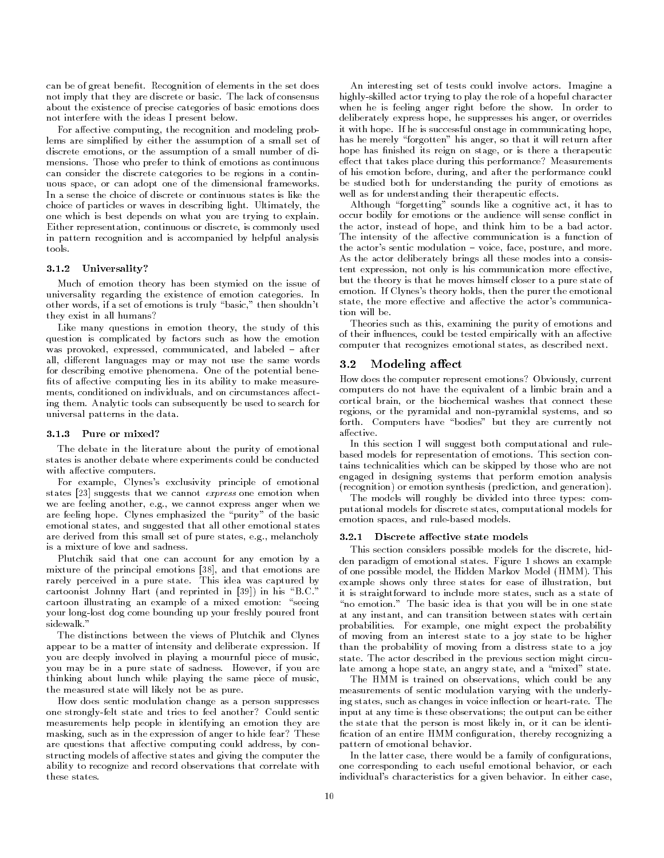can be of great benet- Recognition of elements in the set does not imply that they are discrete or basic- The lack of consensus about the existence of precise categories of basic emotions does not interfere with the ideas I present below-

For affective computing, the recognition and modeling problems are simplied by either the assumption of a small set of discrete emotions or the assumption of a small number of di mensions- Those who prefer to think of emotions as continuous can consider the discrete categories to be regions in a contin uous space, or can adopt one of the dimensional frameworks. In a sense the choice of discrete or continuous states is like the choice of particles or waves in describing light-distribution of the state of the state of the state of the state of one which is best depends on what you are trying to explain-Either representation, continuous or discrete, is commonly used in pattern recognition and is accompanied by helpful analysis tools.

### - Universality

Much of emotion theory has been stymied on the issue of universality regarding the existence of emotion categories- In other words, if a set of emotions is truly "basic," then shouldn't they exist in all humans

Like many questions in emotion theory, the study of this question is complicated by factors such as how the emotion was provoked expressed and labeled and labeled and labeled and labeled and labeled and labeled and labeled and all, different languages may or may not use the same words for describing emotive phenomena- One of the potential bene fits of affective computing lies in its ability to make measurements, conditioned on individuals, and on circumstances affecting them- Analytic tools can subsequently be used to search for universal patterns in the data.

### Pure or mixed

The debate in the literature about the purity of emotional states is another debate where experiments could be conducted with affective computers.

For example, Clynes's exclusivity principle of emotional states  $\left[23\right]$  suggests that we cannot *express* one emotion when we are feeling and feeling and feeling and feeling and feeling and feeling and feeling and feeling and feeling and feeling and feeling and feeling and feeling and feeling and feeling and feeling and feeling anger when we a are feeling hope- Clynes emphasized the purity of the basic emotional states, and suggested that all other emotional states are derived from this small set of pure states e-derived from this small set of pure states e-derived from the is a mixture of love and sadness

Plutchik said that one can account for any emotion by a mixture of the principal emotions [38], and that emotions are rarely perceived in a pure state-book idea was captured by cartoonist Johnny Hart and reprinted in the problem in his B-bis B-bis B-bis B-bis B-bis B-bis B-bis B-bis B-b cartoon illustrating an example of a mixed emotion: "seeing your long-lost dog come bounding up your freshly poured front sidewalk-

The distinctions between the views of Plutchik and Clynes appear to be a matter of intersection and deliberate expressions of you are deeply involved in playing a mournful piece of music you may be in a pure state of sadness- However if you are thinking about lunch while playing the same piece of music the measured state will likely not be as pure-

How does sentic modulation change as a person suppresses one strongly-felt state and tries to feel another? Could sentic measurements help people in identifying an emotion they are masking, such as in the expression of anger to hide fear? These are questions that affective computing could address, by constructing models of affective states and giving the computer the ability to recognize and record observations that correlate with these states.

An interesting set of tests could involve actors- Imagine a highly-skilled actor trying to play the role of a hopeful character when he is feeling and the show-the show-the show-the show-the show-the show-the show-the show-the show-the showdeliberately express hope, he suppresses his anger, or overrides it with hope- If he is successful onstage in communicating hope has he merely "forgotten" his anger, so that it will return after hope has finished its reign on stage, or is there a therapeutic effect that takes place during this performance? Measurements of his emotion before, during, and after the performance could be studied both for understanding the purity of emotions as well as for understanding their therapeutic effects.

Although "forgetting" sounds like a cognitive act, it has to occur bodily for emotions or the audience will sense conflict in the actor, instead of hope, and think him to be a bad actor. The intensity of the affective communication is a function of the actors sentic modulation voice face posture and more-As the actor deliberately brings all these modes into a consis tent expression, not only is his communication more effective, but the theory is that he moves himself closer to a pure state of emotion- If Clyness theory holds then the purer the emotional state, the more effective and affective the actor's communication will be.

Theories such as this, examining the purity of emotions and of their influences, could be tested empirically with an affective computer that recognizes emotional states, as described next.

### $3.2$  Modeling affect

How does the computer represent emotions? Obviously, current computers do not have the equivalent of a limbic brain and a cortical brain, or the biochemical washes that connect these regions, or the pyramidal and non-pyramidal systems, and so forth- Computers have bodies but they are currently not affective.

In this section I will suggest both computational and rule based models for representation of emotions- This section con tains technicalities which can be skipped by those who are not engaged in designing systems that perform emotion analysis (recognition) or emotion synthesis (prediction, and generation).

The models will roughly be divided into three types: computational models for discrete states computational models for emotion spaces, and rule-based models.

#### $3.2.1$ Discrete affective state models

This section considers possible models for the discrete, hidden paradigm of emotional states-states-states-shows and states-states-states-states-shows and states-states-s of one possible model into model induced and the Hotel (model  $\eta$ example shows only three states for ease of illustration, but it is straightforward to include more states, such as a state of no emotion- that state is that you will be in our state in our state at any instant, and can transition between states with certain probabilities- recording the might expect the probability of moving from an interest state to a joy state to be higher than the probability of moving from a distress state to a joy state-bactor described in the previous section might circum late among a hope state, an angry state, and a "mixed" state.

The HMM is trained on observations, which could be any measurements of sentic modulation varying with the underly ing statisfy such as changes in voice indicated as medic entry where input at any time is these observations; the output can be either the state that the person is most likely in, or it can be identification of an entire HMM configuration, thereby recognizing a pattern of emotional behavior.

In the latter case, there would be a family of configurations, one corresponding to each useful emotional behavior, or each individual s characteristics for a given behavior-definition behavior-definition-definition-definition-definition-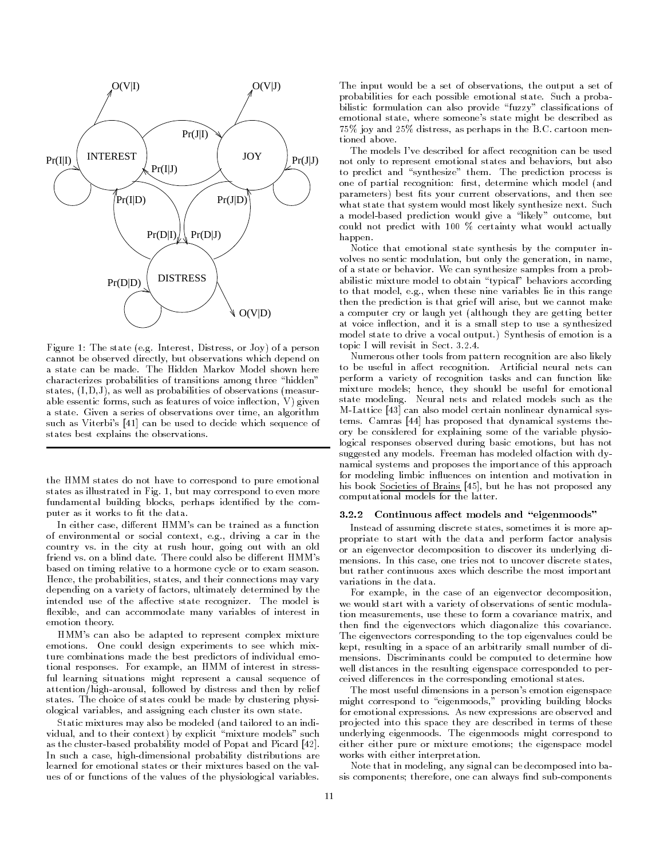

Figure The state e-g- Interest Distress or Joy of a person cannot be observed directly, but observations which depend on characterizes probabilities of transitions among three "hidden" states,  $(I, D, J)$ , as well as probabilities of observations (measurable essentic forms, such as features of voice inflection,  $V$ ) given a state- states of observations of observations over time and and interest such as Viterbi's [41] can be used to decide which sequence of states best explains the observations-

the HMM states do not have to correspond to pure emotional states as in matrix in Fig. of strategy correspond to even more. fundamental building blocks, perhaps identified by the computer as it works to fit the data.

In either case, different HMM's can be trained as a function of environmental or social context e-g- driving a car in the country vs- in the city at rush hour going out with an old based on timing relative to a hormone cycle or to exam season-Hence, the probabilities, states, and their connections may vary depending on a variety of factors, ultimately determined by the intended use of the aective state recognizer- The model is flexible, and can accommodate many variables of interest in emotion theory-

HMM's can also be adapted to represent complex mixture emotions- One could design experiments to see which mix ture combinations made the best predictors of individual emo tional responses- For example an HMM of interest in stress ful learning situations might represent a causal sequence of attention/high-arousal, followed by distress and then by relief states-by could be made by could be made by could be made by could be made by clustering physical by could be m ological variables, and assigning each cluster its own state.

Static mixtures may also be modeled (and tailored to an individual, and to their context) by explicit "mixture models" such as the cluster-based probability model of Popat and Picard [42]. In such a case, high-dimensional probability distributions are learned for emotional states or their mixtures based on the val ues of or functions of the values of the physiological variablesThe input would be a set of observations, the output a set of probabilities for each possible emotional state-state-state-state-state-state-state-state-state-state-state-statebilistic formulation can also provide "fuzzy" classifications of emotional state, where someone's state might be described as joy and distress as perhaps in the B-C- cartoon men tioned above.

The models I've described for affect recognition can be used not only to represent emotional states and behaviors, but also to predict and synthesize them- The prediction process is one of partial recognition: first, determine which model (and parameters) best fits your current observations, and then see  $\ldots$  state that system would most likely symmetry symmetry synthesize  $\ldots$  is not a model-based prediction would give a "likely" outcome, but could not predict with  $100\%$  certainty what would actually happen.

Notice that emotional state synthesis by the computer in volves no sentic modulation, but only the generation, in name, of a state or behaviored with the symthesize samples from a problem abilistic mixture model to obtain "typical" behaviors according to the model equipment in the model in this range in the same  $\mathbf{q}$  . then the prediction is that grief will arise, but we cannot make a computer cry or laugh yet (although they are getting better at voice inflection, and it is a small step to use a synthesized model state to driveavocal output- Synthesis of emotion is a topic I will revisit in Sect- ---

Numerous other tools from pattern recognition are also likely to al moneto in anticial nets quittimes continuous in more can be a perform a variety of recognition tasks and can function like mixture models; hence, they should be useful for emotional state modeling- Neural nets and related models such as the M-Lattice [43] can also model certain nonlinear dynamical systems- Camras has proposed that dynamical systems the ory be considered for explaining some of the variable physio logical responses observed during basic emotions, but has not suggested any models-excluded any models-and chanceled olfaction with namical systems and proposes the importance of this approach for modeling limbic influences on intention and motivation in his book Societies of Brains [45], but he has not proposed any computational models for the latter.

#### Continuous affect models and "eigenmoods"  $3.2.2$

Instead of assuming discrete states, sometimes it is more appropriate to start with the data and perform factor analysis or an eigenvector decomposition to discover its underlying di mensions- In this case one tries not to uncover discrete states but rather continuous axes which describe the most important variations in the data.

For example, in the case of an eigenvector decomposition, we would start with a variety of observations of sentic modula tion measurements, use these to form a covariance matrix, and then find the eigenvectors which diagonalize this covariance. The eigenvectors corresponding to the top eigenvalues could be kept, resulting in a space of an arbitrarily small number of dimensions-between  $\mathbb{P}_\mathbb{C}$  and  $\mathbb{P}_\mathbb{C}$  and  $\mathbb{P}_\mathbb{C}$  and  $\mathbb{P}_\mathbb{C}$  and  $\mathbb{P}_\mathbb{C}$  and  $\mathbb{P}_\mathbb{C}$ well distances in the resulting eigenspace corresponded to per ceived differences in the corresponding emotional states.

The most useful dimensions in a person's emotion eigenspace might correspond to "eigenmoods," providing building blocks for emotional expressions- As new expressions are observed and pro jected into this space they are described in terms of these underlying eigenmoods-correspond to the eigenmoods-correspond to the eigenmoods-correspond to the eigenmoods-c either either pure or mixture emotions; the eigenspace model works with either interpretation.

Note that in modeling any signal can be decomposed into ba sis components; therefore, one can always find sub-components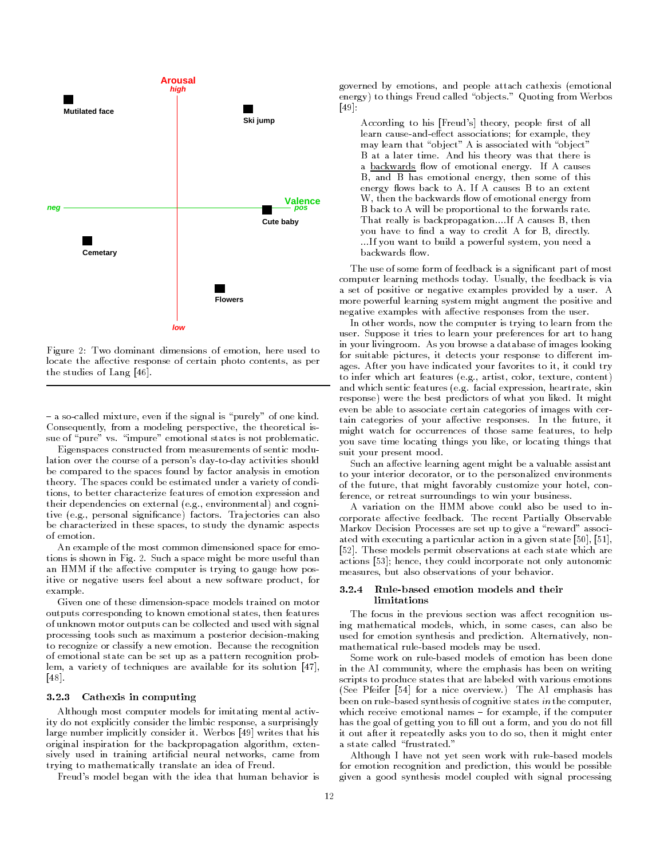

Figure 2: Two dominant dimensions of emotion, here used to locate the affective response of certain photo contents, as per the studies of Lang  $[46]$ .

a socialled mixture even if the signal is purely of one kind-signal is purely of one kind-signal is purely of  $\mathbf{r}$ Consequently, from a modeling perspective, the theoretical issue of pure vs- impure emotional states is not problematic-

Eigenspaces constructed from measurements of sentic modu lation over the course of a person's day-to-day activities should be compared to the spaces found by factor analysis in emotion theory- The spaces could be estimated under a variety of condi tions, to better characterize features of emotion expression and their dependencies on external e-g- environmental and cogni tive e-mail significance factors-between the can also can also can also can also can also can also can also ca be characterized in these spaces, to study the dynamic aspects of emotion-

An example of the most common dimensioned space for emo tions is shown in Fig- - Such a space might be more useful than an HMM if the affective computer is trying to gauge how positive or negative users feel about a new software product, for example.

Given one of these dimension-space models trained on motor outputs corresponding to known emotional states, then features of unknown motor outputs can be collected and used with signal processing tools such as maximum a posterior decision-making to recognize or classify a new emotion- Because the recognition of emotional state can be set up as a pattern recognition prob lem, a variety of techniques are available for its solution  $[47]$ ,  $[48]$ 

### Cathexis in computing

Although most computer models for imitating mental activ ity do not explicitly consider the limbic response a surprisingly large number implicitly consider it- Werbos writes that his original inspiration for the backpropagation algorithm, extensively used in training artificial neural networks, came from trying to mathematically translate an idea of Freud-

Freuds model began with the idea that human behavior is

governed by emotions, and people attach cathexis (emotional energy to things Freud called objects- Quoting from Werbos  $\lceil 49 \rceil$ 

According to his [Freud's] theory, people first of all learn cause-and-effect associations; for example, they may learn that "object" A is associated with "object" a at a later time- time may there, was the theory was the a backwards  $\mathbf{f}$  and  $\mathbf{f}$  and  $\mathbf{f}$  and  $\mathbf{f}$  and  $\mathbf{f}$  and  $\mathbf{f}$  and  $\mathbf{f}$  and  $\mathbf{f}$  and  $\mathbf{f}$  and  $\mathbf{f}$  and  $\mathbf{f}$  and  $\mathbf{f}$  and  $\mathbf{f}$  and  $\mathbf{f}$  and  $\mathbf{f}$  and  $\mathbf{f}$  and B, and B has emotional energy, then some of this energy never an extensive and constant of the answers W, then the backwards flow of emotional energy from B back to A will be proportional to the forwards rate. That really is backpropagation----If A causes B then you have to find a way to credit A for B, directly. ---If you want to build a powerful system you need a

The use of some form of feedback is a signicant part of most computer learning methods today- Usually the feedback is via a set of positive or negative or negative examples provided by a usermore powerful learning system might augment the positive and negative examples with affective responses from the user.

In other words, now the computer is trying to learn from the user- suppose it tries to learn your preferences for any to hang in your livingroom- As you browse a database of images looking for suitable pictures, it detects your response to different images-indicated your favorites to indicate the indicated the indicated trying the second trying the second tra to infer which art features e-g- artist color texture content and which sentic features e-mail expression heartrate skinner skinner skinner skinner skinner skinner skinner response were the best predictors of what you liked- It might even be able to associate certain categories of images with cer tain categories of your aective responses- In the future it might watch for occurrences of those same features, to help you save time locating things you like, or locating things that suit your present mood.

Such an affective learning agent might be a valuable assistant to your interior decorator, or to the personalized environments of the future, that might favorably customize your hotel, conference, or retreat surroundings to win your business.

A variation on the HMM above could also be used to in corporate accented feedback-accented the articles, a contract the recent Markov Decision Processes are set up to give a "reward" associated with executing a particular action in a given state - These models permit observations at each state which are actions [53]; hence, they could incorporate not only autonomic measures, but also observations of your behavior.

### $3.2.4$ limitations

The focus in the previous section was affect recognition using mathematical models, which, in some cases, can also be used for emotion synthesis and prediction- Alternatively non mathematical rule-based models may be used.

Some work on rule-based models of emotion has been done in the AI community, where the emphasis has been on writing scripts to produce states that are labeled with various emotions See Pfeifer for a nice overview- The AI emphasis has been on rule-based synthesis of cognitive states in the computer, which receive emotional names if the computer emotional names if the computer emotion  $\mathbf{f}$ has the goal of getting you to fill out a form, and you do not fill it out after it repeatedly asks you to do so, then it might enter

Although I have not yet seen work with rulebased models for emotion recognition and prediction, this would be possible given a good synthesis model coupled with signal processing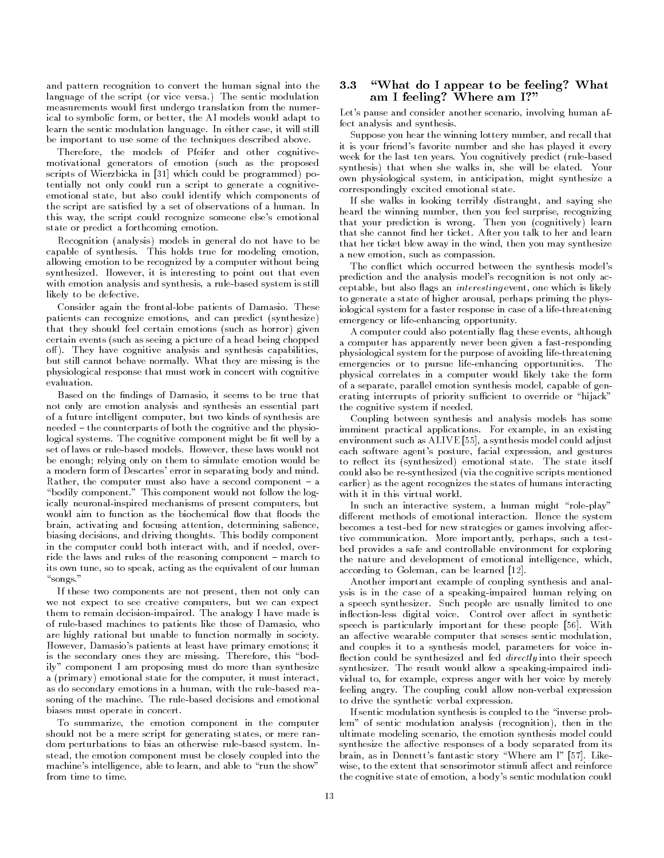and pattern recognition to convert the human signal into the language of the script or vice versa- The sentic modulation measurements would first undergo translation from the numerical to symbolic form, or better, the AI models would adapt to learn the sentic modulation language- In either case it will still be important to use some of the techniques described above.

Therefore, the models of Pfeifer and other cognitivemotivational generators of emotion (such as the proposed scripts of Wierzbicka in [31] which could be programmed) potentially not only could run a script to generate a cognitive emotional state, but also could identify which components of the script are satised by a set of observations of a human- In this way, the script could recognize someone else's emotional state or predict a forthcoming emotion.

Recognition (analysis) models in general do not have to be capable of synthesis- This holds true for modeling emotion allowing emotion to be recognized by a computer without being symthesized-contract it is interesting to point out that even with emotion analysis and synthesis, a rule-based system is still likely to be defective.

consider again the frontal the patients of Damasio-Damasiopatients can recognize emotions, and can predict (synthesize) that they should feel certain emotions (such as horror) given certain events (such as seeing a picture of a head being chopped or, and analysis and sympathy and since an analysis capabilities. who still cannot be are missing is the still called the missing is the state of  $\mathcal{L}_\mathbf{X}$ physiological response that must work in concert with cognitive

Based on the findings of Damasio, it seems to be true that not only are emotion analysis and synthesis an essential part of a future intelligent computer, but two kinds of synthesis are needed the counterparts of both the cognitive and the physio logical systems- The cognitive component might be t well by a However these laws would not be enough; relying only on them to simulate emotion would be a modern form of Descartes' error in separating body and mind. Rather the computer must also have a second component a bodily component-this component-this component would not follow the logical notation of the logical notation of the logical notation of the logical notation of the logical notation of the logical notation of the logical no ically neuronal-inspired mechanisms of present computers, but would aim to function as the biochemical flow that floods the brain, activating and focusing attention, determining salience, biasing decisions and driving thoughts- This bodily component in the computer could both interact with, and if needed, override the laws and rules of the reasoning component march to its own tune, so to speak, acting as the equivalent of our human songs-

If these two components are not present, then not only can we not expect to see creative computers, but we can expect them to remain decisionimpaired- The analogy I have made is of rule-based machines to patients like those of Damasio, who are highly rational but unable to function normally in society-However, Damasio's patients at least have primary emotions; it is the secondary ones they are missing-they are missing-they are missing-they are missing-they are missing-they are missingily" component I am proposing must do more than synthesize a (primary) emotional state for the computer, it must interact, as do secondary emotions in a human, with the rule-based reasoning of the machine- The rulebased decisions and emotional biases must operate in concert.

To summarize, the emotion component in the computer should not be a mere script for generating states, or mere random perturbations to bias an otherwise rulebased system- In stead, the emotion component must be closely coupled into the machine's intelligence, able to learn, and able to "run the show" from time to time.

# What do I appear to be feeling What am I feeling? Where am I?"

Let's pause and consider another scenario, involving human affect analysis and synthesis.

Suppose you hear the winning lottery number, and recall that it is your friend's favorite number and she has played it every week for the last ten years- for the substitute predict (for the state of the state of the state of the state o symthesis that when she walks in she will be elated the she own physiological system, in anticipation, might synthesize a correspondingly excited emotional state-

If she walks in looking terribly distraught, and saying she heard the winning number, then you feel surprise, recognizing that your prediction is wrong- Then you cognitively learn that she cannot not be called the cannot not be called the cannot not be called the cannot not be called the c that her ticket blew away in the wind, then you may synthesize a new emotion, such as compassion.

The conflict which occurred between the synthesis model's prediction and the analysis model's recognition is not only acceptable, but also flags an *interesting* event, one which is likely to generate a state of higher arousal, perhaps priming the physiological system for a faster response in case of a life-threatening emergency or life-enhancing opportunity.

A computer could also potentially flag these events, although a computer has apparently never been given a fastresponding physiological system for the purpose of avoiding life-threatening emergencies or to pursue lifeenhancing opportunities- The physical correlates in a computer would likely take the form of a separate, parallel emotion synthesis model, capable of generating interrupts of priority sufficient to override or "hijack" the cognitive system if needed-

Coupling between synthesis and analysis models has some imminent practical applications- For example in an existing environment such as ALIVE [55], a synthesis model could adjust each software agent's posture, facial expression, and gestures to react its synthesized emotional state-state-state-state-state-state-state-state-state-state-state-state-state-state-state-state-state-state-state-state-state-state-state-state-state-state-state-state-state-state-statecould also be re-synthesized (via the cognitive scripts mentioned earlier) as the agent recognizes the states of humans interacting with it in this virtual world.

In such an interactive system, a human might "role-play" adierent methods of the systems interaction- primate the systems becomes a test-bed for new strategies or games involving affective communication- More importantly perhaps such a test bed provides a safe and controllable environment for exploring the nature and development of emotional intelligence, which, according to Goleman, can be learned [12].

Another important example of coupling synthesis and anal ysis is in the case of a speaking-impaired human relying on a speech synthesizer-synthesizer-based to one-synthesizer-synthesizer-synthesizer-synthesizer-synthesizer-synthesizerin the control over a control over a control over a control over a control over a control over a control over a speech is particularly important for these people - With an affective wearable computer that senses sentic modulation, and couples it to a synthesis model, parameters for voice inflection could be synthesized and fed *directly* into their speech symmetrial would allow a speaking allow provided in the speaking of  $\sim$ vidual to, for example, express anger with her voice by merely feeling angry- The coupling could allow nonverbal expression to drive the synthetic verbal expression-

If sentic modulation synthesis is coupled to the "inverse problem" of sentic modulation analysis (recognition), then in the ultimate modeling scenario, the emotion synthesis model could synthesize the affective responses of a body separated from its brain as in Dennett story Where an I - Dennett story Where an I - Dennett story Where an I - Dennett story Where a wise, to the extent that sensorimotor stimuli affect and reinforce the cognitive state of emotion, a body's sentic modulation could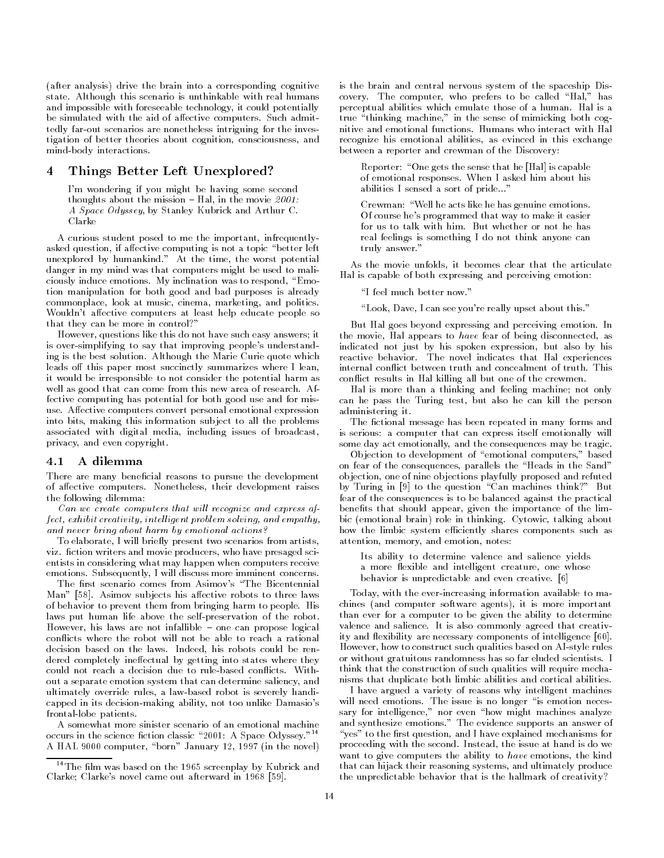(after analysis) drive the brain into a corresponding cognitive state- Although this scenario is unthinkable with real humans and impossible with foreseeable technology, it could potentially be simulated with the aid of aective computers-  $\mathbb{S}$  and  $\mathbb{S}$  are computers-  $\mathbb{S}$  and  $\mathbb{S}$  and  $\mathbb{S}$ tedly far-out scenarios are nonetheless intriguing for the investigation of better theories about cognition, consciousness, and mind-body interactions.

#### Things Better Left Unexplored 4

Im wondering if you might be having some second thoughts about the mission about the mission about the mission about the mission about the mission about the m A Space Odyssey, by Stanley Kubrick and Arthur C. Clarke

A curious student posed to me the important, infrequentlyasked question, if affective computing is not a topic "better left unterprotect by manufactured and the worst potential control of the second second second second second second danger in my mind was that computers might be used to mali ciously induce emotions- My inclination was to respond Emo tion manipulation for both good and bad purposes is already commonplace, look at music, cinema, marketing, and politics. Wouldn't affective computers at least help educate people so that they can be more in control?"

However, questions like this do not have such easy answers; it is over-simplifying to say that improving people's understanding is the best solution-the marie agreement of the Marie Which  $\alpha$ leads off this paper most succinctly summarizes where I lean, it would be irresponsible to not consider the potential harm as  $\sim$  as a good that can come from the from the second theorem. The fective computing has potential for both good use and for mis use- Aective computers convert personal emotional expression into bits, making this information subject to all the problems associated with digital media including issues of broadcast privacy, and even copyright.

#### $4.1$ A dilemma

There are many beneficial reasons to pursue the development of anti-computers- computers- their development raises the computers the the following dilemma

Can we create computers that will recognize and express af- $\emph{fect}, \emph{exhibit creativity}, \emph{intelligent problem solving, and \emph{empathy}},$ and never bring about harm by emotional actions

To elaborate, I will briefly present two scenarios from artists, vizor writers and movie producers who have not and moving and state entists in considering what may happen when computers receive emotions- Subsequently I will discuss more imminent concerns-

The first scenario comes from Asimov's "The Bicentennial Man - Asimov sub jects his aective robots to three laws of behavior to prevent them from bringing harm to people- His laws put human life above the self-preservation of the robot. However his laws are not infallible one can propose logical conflicts where the robot will not be able to reach a rational decision based on the laws- Indeed his robots could be ren dered completely ineffectual by getting into states where they out a separate emotion system that can determine saliency and ultimately override rules, a law-based robot is severely handicapped in its decision-making ability, not too unlike Damasio's frontal-lobe patients.

A somewhat more sinister scenario of an emotional machine occurs in the science ction classic A Space Odysseyoccurs in the science fiction classic "2001: A Space Odyssey."<sup>14</sup> A HAL 9000 computer, "born" January 12, 1997 (in the novel) is the brain and central nervous system of the spaceship Dis covery-beneficial computer who preferred Hal has been preferred Hal has been preferred Hal has been preferred H perceptual abilities which emulate those of a human- Hal is a true "thinking machine," in the sense of mimicking both cogrecognize his emotional abilities, as evinced in this exchange between a reporter and crewman of the Discovery

Reporter: "One gets the sense that he [Hal] is capable of emotional responses-community memory means that may abilities I sensed a sort of pride---

Crewman: "Well he acts like he has genuine emotions. Of course he's programmed that way to make it easier real feelings is something I do not think anyone can truly and the control of the control of the control of the control of the control of the control of the control of the control of the control of the control of the control of the control of the control of the control of th

As the movie unfolds, it becomes clear that the articulate Hal is capable of both expressing and perceiving emotion

I feel much better now-

Look Dave I can see youre really upset about this-

But Hal goes beyond expressing and perceiving emotion- In the movie, Hal appears to have fear of being disconnected, as indicated not just by his spoken expression, but also by his reactive behavior- The novel indicates that Hal experiences conflict results in Hal killing all but one of the crewmen.

Hal is more than a thinking and feeling machine; not only can he pass the Turing test, but also he can kill the person administering it-

The fictional message has been repeated in many forms and is serious: a computer that can express itself emotionally will some day act emotionally, and the consequences may be tragic.

Objection to development of "emotional computers," based on fear of the consequences, parallels the "Heads in the Sand" objection, one of nine objections playfully proposed and refuted by Turing in [9] to the question "Can machines think?" But fear of the consequences is to be balanced against the practical benefits that should appear, given the importance of the lim- $\mathbb{R}$  . This is the contract of the thinking-talking above  $\mathbb{R}$ how the limbic system efficiently shares components such as attention, memory, and emotion, notes:

Its ability to determine valence and salience yields a more flexible and intelligent creature, one whose behavior is unpredictable and even creative-

Today, with the ever-increasing information available to machines (and computer software agents), it is more important than ever for a computer to be given the ability to determine valence and salitative at he had commonly agreed that creative ity and flexibility are necessary components of intelligence [60]. However, how to construct such qualities based on AI-style rules or without gratuitous randomness has so far electronically to think that the construction of such qualities will require mecha nisms that duplicate both limbic abilities and cortical abilities-

I have argued a variety of reasons why intelligent machines will need the issue is no longer is no longer in the issue is the second sary for intelligence." nor even "how might machines analyze and synthesize emotions- The evidence supports an answer of "yes" to the first question, and I have explained mechanisms for proceeding with the second- Instead the issue at hand is do we want to give computers the ability to  $have$  emotions, the kind that can hijack their reasoning systems, and ultimately produce the unpredictable behavior that is the hallmark of creativity

 $14$ The film was based on the 1965 screenplay by Kubrick and Clarke; Clarke's novel came out afterward in  $1968$  [59].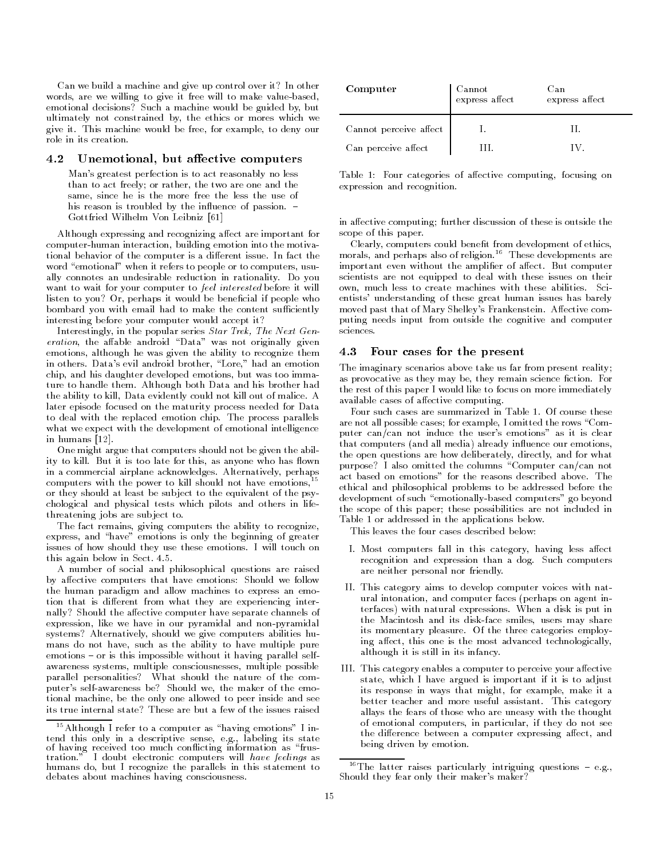Can we build a machine and give up control over it? In other words, are we willing to give it free will to make value-based, emotional decisions? Such a machine would be guided by, but ultimately not constrained by, the ethics or mores which we give it- This machine would be free for example to deny our role in its creation.

# 4.2 Unemotional, but affective computers

Mans greatest perfection is to act reasonably no less than to act freely; or rather, the two are one and the same, since he is the more free the less the use of his reason is troubled by the internal passion-of passion-of-passion-of-passion-of-passion-of-passion-of-passion-Gottfried Wilhelm Von Leibniz

Although expressing and recognizing affect are important for computer-human interaction, building emotion into the motivational behavior of the computer is a dierent issue- In fact the word "emotional" when it refers to people or to computers, usually connotes an undesirable reduction in rationality- Do you want to wait for your computer to *feel interested* before it will listen to you? Or, perhaps it would be beneficial if people who bombard you with email had to make the content sufficiently interesting before your computer would accept it

Interestingly, in the popular series Star Trek, The Next Gen $eration$ , the affable android "Data" was not originally given emotions, although he was given the ability to recognize them  $4.3$ in others- Datas evil android brother Lore had an emotion chip, and his daughter developed emotions, but was too immature to handler them, recently and his both data and his brother had the ability to kill Data evidently could not kill out of malice- A later episode focused on the maturity process needed for Data to deal with the replaced emotion chip- replaced process parallels what we expect with the development of emotional intelligence in humans  $[12]$ .

One might argue that computers should not be given the abil ity to kill. But it is too late for this, as anyone who has flown ity to kill- But it is too late for this as anyone who has own in a commercial airplane acknowledges- Alternatively perhaps computers with the power to kill should not have emotions,<sup>15</sup> or they should at least be sub ject to the equivalent of the psy chological and physical tests which pilots and others in life threatening jobs are subject to.

The fact remains, giving computers the ability to recognize. express, and "have" emotions is only the beginning of greater issues of how should they use these emotions- I will touch on this again below in Sect- --

A number of social and philosophical questions are raised by affective computers that have emotions: Should we follow the human paradigm and allow machines to express an emo tion that is different from what they are experiencing internally? Should the affective computer have separate channels of expression, like we have in our pyramidal and non-pyramidal systems? Alternatively, should we give computers abilities humans do not have, such as the ability to have multiple pure emotions or is this impossible without it having parallel self awareness systems, multiple consciousnesses, multiple possible parallel personalities? What should the nature of the computer's self-awareness be? Should we, the maker of the emotional machine, be the only one allowed to peer inside and see its true internal state? These are but a few of the issues raised

| Computer               | Cannot<br>express affect | Can<br>express affect |
|------------------------|--------------------------|-----------------------|
| Cannot perceive affect |                          |                       |
| Can perceive affect    |                          |                       |

Table 1: Four categories of affective computing, focusing on expression and recognition.

in affective computing; further discussion of these is outside the scope of this paper.

Clearly, computers could benefit from development of ethics, morals and perhaps also of religion- These developments are important even without the amplier of aect- But computer scientists are not equipped to deal with these issues on their own much less to create machiness with these abilitiesentists understanding of these great human issues has barely moved past that of Mary Shelleys Frankenstein- Aective com puting needs input from outside the cognitive and computer sciences.

# Four cases for the present

The imaginary scenarios above take us far from present reality as provocative as they may be they remain science ction- For the rest of this paper I would like to focus on more immediately available cases of affective computing.

are not all possible cases; for example, I omitted the rows "Computer can/can not induce the user's emotions" as it is clear that computers (and all media) already influence our emotions. the open questions are how deliberately directly and for what purpose? I also omitted the columns "Computer can/can not ethical and philosophical problems to be addressed before the development of such "emotionally-based computers" go beyond the scope of this paper; these possibilities are not included in Table 1 or addressed in the applications below.

This leaves the four cases described below

- I- Most computers fall in this category having less aect recognition and expression than a documentation than a documentation than a documentation of the computers of the computers of the computers of the computers of the computers of the computers of the computers of the comput are neither personal nor friendly-
- II- This category aims to develop computer voices with nat ural intonation, and computer faces (perhaps on agent interfaces with a disk is put in the contract of the second computer  $\mathcal{L}$ the Macintosh and its disk-face smiles, users may share its momentary pleasure- Of the three categories employ ing affect, this one is the most advanced technologically, although it is still in its infancy-
- III- This category enables a computer to perceive your aective state, which I have argued is important if it is to adjust its response in ways that might, for example, make it a better teacher and more useful assistant- This category allays the fears of those who are uneasy with the thought of emotional computers, in particular, if they do not see the difference between a computer expressing affect, and being driven by emotion.

 $15$  Although I refer to a computer as "having emotions" I intend this only in a descriptive sense e-g- labeling its state of having received too much conflicting information as "frustration." I doubt electronic computers will have feelings as humans do, but I recognize the parallels in this statement to debates about machines having consciousness.

 $\lceil$  The latter raises particularly intriguing questions  $\lceil$  e.g.,  $\lceil$ Should they fear only their maker's maker?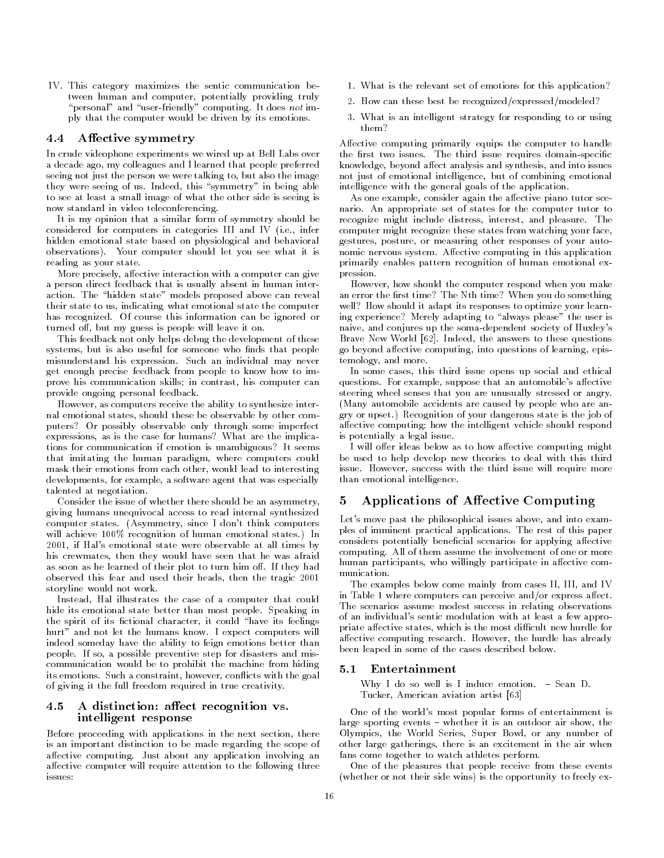IV- This category maximizes the sentic communication be tween human and computer potentially provided to the computation of the computation of the computation of the computation of the computation of the computation of the computation of the computation of the computation of th personal and userfriendly computing- It does not im ply that the computer would be driven by its emotions-

### 4.4 Affective symmetry

In crude videophone experiments we wired up at Bell Labs over a decade ago, my colleagues and I learned that people preferred seeing not just the person we were talking to, but also the image they were seeing of us- Indeed this symmetry in being able to see at least a small image of what the other side is seeing is now standard in video teleconferencing-

It is my opinion that a similar form of symmetry should be considered for computers in categories III and IV i-III and IV i-III and IV i-III and IV i-III and IV i-II and hidden emotional state based on physiological and behavioral observations-in-the-computer should let you see what it is in the computer should let you see what it is in the reading as your state.

More precisely, affective interaction with a computer can give a person direct feedback that is usually absent in human inter action- the models can reveal proposed above can reveal their state to us indicating what emotional state the computer has recognized- Of course this information can be ignored or turned off, but my guess is people will leave it on.

This feedback not only helps debug the development of these systems, but is also useful for someone who finds that people misunderstand mis expression- a new misules individual may never get enough precise feedback from people to know how to im prove his communication skills; in contrast, his computer can provide ongoing personal feedback-

However, as computers receive the ability to synthesize internal emotional states, should these be observable by other computers? Or possibly observable only through some imperfect expressions, as is the case for humans? What are the implications for communication if emotion is unambiguous? It seems that imitating the human paradigm, where computers could mask their emotions from each other, would lead to interesting developments, for example, a software agent that was especially talented at negotiation.

Consider the issue of whether there should be an asymmetry giving humans unequivocal access to read internal synthesized computer states-states-states-states-states-states-states-states-states-states-states-states-states-states-sta will achieve the complete states-of-human emotion of human emotional states-of-human emotional states-of-human emotion 2001, if Hal's emotional state were observable at all times by his crewmates, then they would have seen that he was afraid as soon as he learned of the learned of the learned of the learned of the learned of the year o-turn him o-turn observed this fear and used their heads, then the tragic 2001 storyline would not work-

Instead, Hal illustrates the case of a computer that could hide its emotional state better than most people- Speaking in the spirit of its fictional character, it could "have its feelings hurt and not let the humans know- I expect computers will indeed someday have the ability to feign emotions better than peoples- as compared presentive preventive step for disasters and mission and mission communication would be to prohibit the machine from hiding its emotions- with a completency mother of commercial services  $\mathbf{q}$  and of giving it the full freedom required in true creativity-

# 4.5 A distinction: affect recognition vs. intelligent response

Before proceeding with applications in the next section, there is an important distinction to be made regarding the scope of aective computing-computing-computing-computing-computing-computing-computing any application involving any app affective computer will require attention to the following three issues

- What is the relevant set of emotions for the relevant set of emotions for the relevant set of emotions for th
- How can these best be recognizedexpressedmodeled
- What is an intelligent strategy for responding to or using them

Affective computing primarily equips the computer to handle the rst two issues- The third issue requires domainspecic knowledge, beyond affect analysis and synthesis, and into issues not just of emotional intelligence, but of combining emotional intelligence with the general goals of the application.

As one example, consider again the affective piano tutor scenario- An appropriate set of states for the computer tutor to recognize might include distress interest and pleasure- The computer might recognize these states from watching your face gestures, posture, or measuring other responses of your autonomic nervous system-ben'ny tanàna amin'ny taona ao amin'ny faritr'i Normales-Aquitaine, ao amin'ny faritr'i No primarily enables pattern recognition of human emotional ex pression.

However, how should the computer respond when you make an error the first time? The Nth time? When you do something well? How should it adapt its responses to optimize your learning experience? Merely adapting to "always please" the user is naive, and conjures up the soma-dependent society of Huxley's Brave New World - Indeed the answers to these questions go beyond affective computing, into questions of learning, epistemology, and more.

In some cases, this third issue opens up social and ethical questions- For example suppose that an automobiles aective steering wheel senses that you are unusually stressed or angry-Many automobile accidents are caused by people who are an gry or upset- Recognition of your dangerous state is the job of affective computing; how the intelligent vehicle should respond is potentially a legal issue.

I will offer ideas below as to how affective computing might be used to help develop new theories to deal with this third issue-term is success with the third issue-term in the third issue will require more will require more will require than emotional intelligence.

#### Applications of Affective Computing 5.

Let's move past the philosophical issues above, and into examples of imminished practical applications-with rest of this paper. considers potentially beneficial scenarios for applying affective computing- care as include the involvement of convention of one or more. human participants, who willingly participate in affective communication.

The examples below come mainly from cases II, III, and IV in Table 1 where computers can perceive and/or express affect. The scenarios assume modest success in relating observations of an individuals sentic modulation with at least a few appro priate affective states, which is the most difficult new hurdle for aective computing research-beneficial research-beneficial research-beneficial research-beneficial research-ben been leaped in some of the cases described below-

Why I do so well is I induce emotion- Sean D-Tucker, American aviation artist [63]

One of the world's most popular forms of entertainment is large sporting events whether it is an outdoor air show the Olympics, the World Series, Super Bowl, or any number of other large gatherings, there is an excitement in the air when fans come together to watch athletes perform.

One of the pleasures that people receive from these events (whether or not their side wins) is the opportunity to freely ex-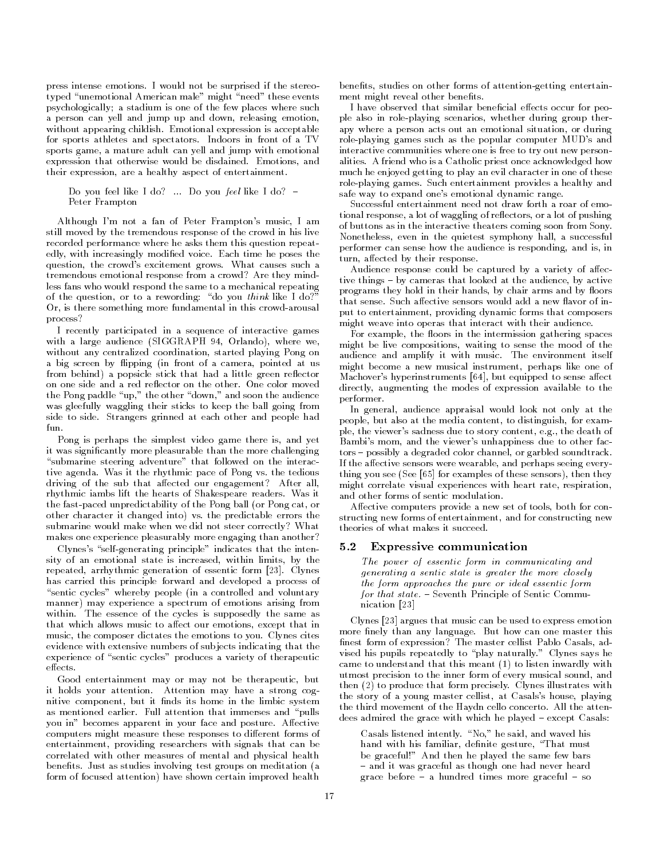press intense emotions-between the stereo intense emotions-between the stereo intense emotions-between the ster typed "unemotional American male" might "need" these events psychologically; a stadium is one of the few places where such a person can yell and jump up and down, releasing emotion, with a positive childish-childish-childish-childish-childish-childish-childish-childish-childish-childish-child for sports athletes and spectators- Indoors in front of a TV sports game, a mature adult can yell and jump with emotional expression that otherwise would be disdained- Emotions and their expression, are a healthy aspect of entertainment.

Do you feel like I do --- Do you feel like I do Peter Frampton

Although Im not a fan of Peter Framptons music I am still moved by the tremendous response of the crowd in his live recorded performance where he asks them this question repeat edly with increasingly modied voice- Each time he poses the  $\mathbf{u}$  the crowds excitement grows-causes such a causes such a cause such a cause such a cause such a cause such a cause  $\mathbf{u}$ tremendous emotional response from a crowd? Are they mindless fans who would respond the same to a mechanical repeating of the question, or to a rewording: "do you think like I do?" Or, is there something more fundamental in this crowd-arousal process

I recently participated in a sequence of interactive games with a large audience (SIGGRAPH 94, Orlando), where we, without any centralized coordination, started playing Pong on a big screen by flipping (in front of a camera, pointed at us from behind) a popsicle stick that had a little green reflector the Pong paddle "up," the other "down," and soon the audience was gleefully waggling their sticks to keep the ball going from side to side- Strangers grinned at each other and people had  $f_{\rm H}$ 

Pong is perhaps the simplest video game there is, and yet it was signicantly more pleasurable than the more challenging "submarine steering adventure" that followed on the interactive agenda- was in the rhythmic pace of Pong vs-the rhythmic pace of Pong vs-the rhythmic pace of Pong vs-the driving of the sub that affected our engagement? After all, rhythmic iambs lift the hearts of Shakespeare readers- Was it the fast-paced unpredictability of the Pong ball (or Pong cat, or other character it changed into vs- the predictable errors the submarine would make when we did not steer correctly? What makes one experience pleasurably more engaging than another

Clynes's "self-generating principle" indicates that the intensity of an emotional state is increased, within limits, by the repeated arrhythmic generation of essentic form - Clynes has carried this principle forward and developed a process of "sentic cycles" whereby people (in a controlled and voluntary manner) may experience a spectrum of emotions arising from with the essence of the cycles is supposed. The same assessed the same as  $\sim$ that which allows music to affect our emotions, except that in music the composer dictates the emotions to you- Clynes cites evidence with extensive numbers of subjects indicating that the experience of "sentic cycles" produces a variety of therapeutic effects.

Good entertainment may or may not be therapeutic, but it holds your attention- Attention may have a strong cog nitive component, but it finds its home in the limbic system as mentioned earlier- range meetings and immerses and pulls you in becomes apparent in your face and posture- Aective computers might measure these responses to different forms of entertainment, providing researchers with signals that can be correlated with other measures of mental and physical health benets- Just as studies involving test groups on meditation a form of focused attention) have shown certain improved health

benefits, studies on other forms of attention-getting entertainment might reveal other benefits.

I have observed that similar beneficial effects occur for people also in role-playing scenarios, whether during group therapy where a person acts out an emotional situation, or during role-playing games such as the popular computer MUD's and interactive communities where one is free to try out new person alities- to the fact of a friend who is a friend who is a friend  $\bigwedge \cdots \bigwedge \cdots$ much he enjoyed getting to play an evil character in one of these role playing games- a health children provides a healthy and safe way to expand one's emotional dynamic range.

Successful entertainment need not draw forth a roar of emo tional response, a lot of waggling of reflectors, or a lot of pushing of buttons as in the interactive theaters coming soon from Sony-Nonetheless, even in the quietest symphony hall, a successful performer can sense how the audience is responding and is in turn, affected by their response.

Audience response could be captured by a variety of affective things by cameras that looked at the audience by active programs they hold in their hands, by chair arms and by floors put to entertainment, providing dynamic forms that composers might weave into operas that interact with their audience.

For example, the floors in the intermission gathering spaces might be live compositions, waiting to sense the mood of the audience and amplify it with music-complete international control might become a new musical instrument, perhaps like one of  $\rm M$ achover's hyperinstruments [64], but equipped to sense affect directly, augmenting the modes of expression available to the performer. performer-

In general, audience appraisal would look not only at the people, but also at the media content, to distinguish, for example the viewers sadded to story content e-g-, which we have the death of the death of the death of the death of Bambi's mom, and the viewer's unhappiness due to other factors possibly a degraded color channel or garbled soundtrack-If the affective sensors were wearable, and perhaps seeing everything you see (See [65] for examples of these sensors), then they might correlate visual experiences with heart rate, respiration, and other forms of sentic modulation.

Affective computers provide a new set of tools, both for constructing new forms of entertainment, and for constructing new theories of what makes it succeed-

# Expressive communication

The power of essentic form in communicating and generating a sentic state is greater the more closely the form approaches the pure or ideal essentic form for that state- Seventh Principle of Sentic Commu nication [23]

Clynes  $[23]$  argues that music can be used to express emotion more nely than any language- But how can one master this finest form of expression? The master cellist Pablo Casals, advised his pupils repeatedly to play naturally- Clynes says he came to understand that this meant  $(1)$  to listen inwardly with utmost precision to the inner form of every musical sound, and then  $\{ - \}$  is produce that forms precisely- illustrates in the with the story of a young master cellist, at Casals's house, playing the third movement of the Haydn cello concerto- All the atten admired the grace with which he played chick played and

case intention interests in the said and wave wave the same hand with his familiar, definite gesture, "That must be graceful!" And then he played the same few bars and it was graceful as though one had never had never heard never heard never heard never heard never heard never heard never heard never heard never heard never heard never heard never heard never heard never heard never grace before a hundred times more graceful so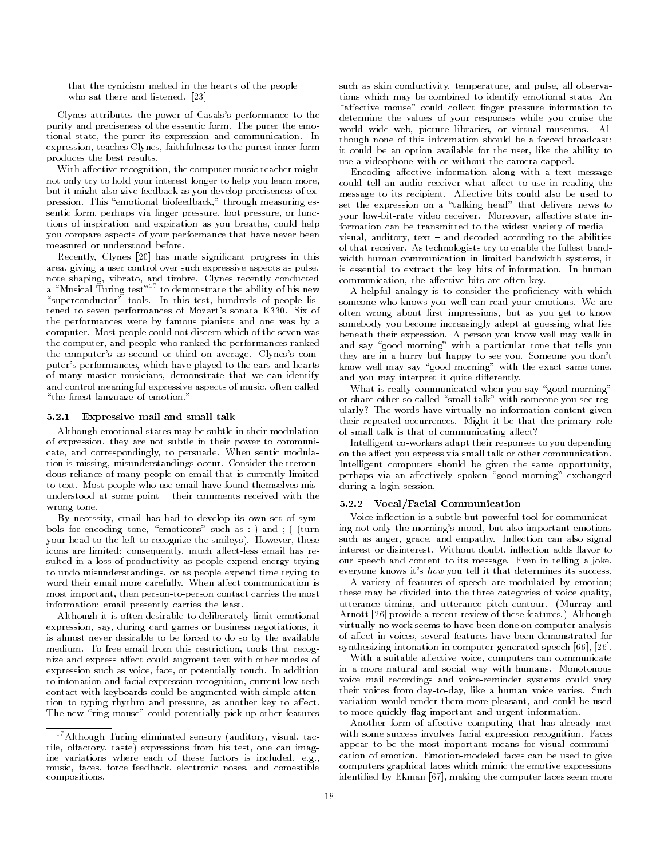that the cynicism melted in the hearts of the people who sat there are an and listened-listened-listened-listened-listened-listened-listened-listened-listened-list

Clynes attributes the power of Casalss performance to the purity and preciseness of the essential former form-purity the emot tional state the purer its expression and communication- In expression, teaches Clynes, faithfulness to the purest inner form produces the best results-

With affective recognition, the computer music teacher might not only try to hold your interest longer to help you learn more but it might also give feedback as you develop preciseness of ex pression- This emotional biofeedback through measuring es sentic form, perhaps via finger pressure, foot pressure, or functions of inspiration and expiration as you breathe, could help you compare aspects of your performance that have never been measured or understood before-

Recently, Clynes [20] has made significant progress in this area, giving a user control over such expressive aspects as pulse, note shaping vibrato and timbre- Clynes recently conducted a "Musical Turing test"<sup>17</sup> to demonstrate the ability of his new superconductor tools-tools-belief tools-test hundreds of people list test hundreds of people list of people li tened is seven performances ar modern sonata Article State Art the performances were by famous pianists and one was by a computer-most people computer which which was an ancient seven was computed which was a the computer, and people who ranked the performances ranked the computers as second or third on average- Clyness com puter's performances, which have played to the ears and hearts of many master musicians, demonstrate that we can identify and control meaningful expressive aspects of music, often called the nest language of emotion-language of emotion-language of emotion-language of  $\mathbb{R}^n$ 

### Expressive mail and small talk

Although emotional states may be subtle in their modulation of expression, they are not subtle in their power to communicate and correspondingly to persuade- When sentic modula tion is missing misunderstandings occur- Consider the tremen dous reliance of many people on email that is currently limited to text- Most people who use email have found themselves mis understood at some point  $\mathbb{R}^n$ wrong tone-

By necessity, email has had to develop its own set of symbols for encoding tone, "emoticons" such as  $\cdot$ ) and  $\cdot$  ( (turn your head to the left to recognize the smileys- However these icons are limited; consequently, much affect-less email has resulted in a loss of productivity as people expend energy trying to undo misunderstandings, or as people expend time trying to word their communication communication is an access communication in most important, then person-to-person contact carries the most information; email presently carries the least.

Although it is often desirable to deliberately limit emotional expression, say, during card games or business negotiations, it is almost never desirable to be forced to do so by the available medium- To free email from this restriction tools that recog nize and express affect could augment text with other modes of expression such as voice face or potentially touch- In addition to intonation and facial expression recognition, current low-tech contact with keyboards could be augmented with simple atten tion to typing rhythm and pressure, as another key to affect. The new "ring mouse" could potentially pick up other features

such as skin conductivity, temperature, and pulse, all observations which may be combined to identify emotional state- An "affective mouse" could collect finger pressure information to determine the values of your responses while you cruise the world wide web picture libraries or virtual museums- Al though none of this information should be a forced broadcast it could be an option available for the user like the ability to use a videophone with or without the camera capped.

Encoding affective information along with a text message could tell an audio receiver what affect to use in reading the message to its recipient- Aective bits could also be used to set the expression on a "talking head" that delivers news to your lowbitrate video receiver- Moreover aective state in formation can be transmitted to the widest variety of media is and decoded and decoded according to the according of that receiver-the tribution  $\mathbf{A}$  that is the fullest band the full state  $\mathbf{A}$ width human communication in limited bandwidth systems, it is essential to extract the key bits of information- In human communication, the affective bits are often key.

A helpful analogy is to consider the proficiency with which someone was and we you well can read your emotions- we are often wrong about first impressions, but as you get to know somebody you become increasingly adept at guessing what lies beneath the strip expression-  $\mathbf{p}$  person you know well may walk in the strip and say "good morning" with a particular tone that tells you they are in a hurry but happy to see you- Someone you dont know well may say "good morning" with the exact same tone, and you may interpret it quite differently.

What is really communicated when you say "good morning" or share other so-called "small talk" with someone you see regularly? The words have virtually no information content given their repeated cocurrences inagain it as the primary role. of small talk is that of communicating affect?

Intelligent co-workers adapt their responses to you depending on the affect you express via small talk or other communication. Intelligent computers should be given the same opportunity perhaps via an affectively spoken "good morning" exchanged during a login session.

### 5.2.2 Vocal/Facial Communication

Voice inflection is a subtle but powerful tool for communicating not only the morning's mood, but also important emotions such as anger grace, and empathy-also since and also signal interest-disinterest-disinterest-disinterest-disinterest-disinterest-disinterest-disinterest-disinterest-disin our speech and content to its message- Even in telling a joke everyone knows it's how you tell it that determines its success.

A variety of features of speech are modulated by emotion these may be divided into the three categories of voice quality utterance timing and utterance pitch contour- Murray and Arnott provide a recent review of these features- Although virtually no work seems to have been done on computer analysis of affect in voices, several features have been demonstrated for synthesizing intonation in computer-generated speech  $[66]$ ,  $[26]$ .

With a suitable affective voice, computers can communicate in a more natural and social way with humans- Monotonous voice mail recordings and voice-reminder systems could vary their voices from daytoday likeahuman voice varies- Such variation would render them more pleasant, and could be used to more quickly flag important and urgent information.

Another form of affective computing that has already met  $\ldots$  some success involves facial expression recognition- recognitionappear to be the most important means for visual communi cation of emotion- Emotionmodeled faces can be used to give computers graphical faces which mimic the emotive expressions identified by Ekman  $[67]$ , making the computer faces seem more

 $17$  Although Turing eliminated sensory (auditory, visual, tactile, olfactory, taste) expressions from his test, one can imagine variations where each of these factors is included e-g music, faces, force feedback, electronic noses, and comestible compositions-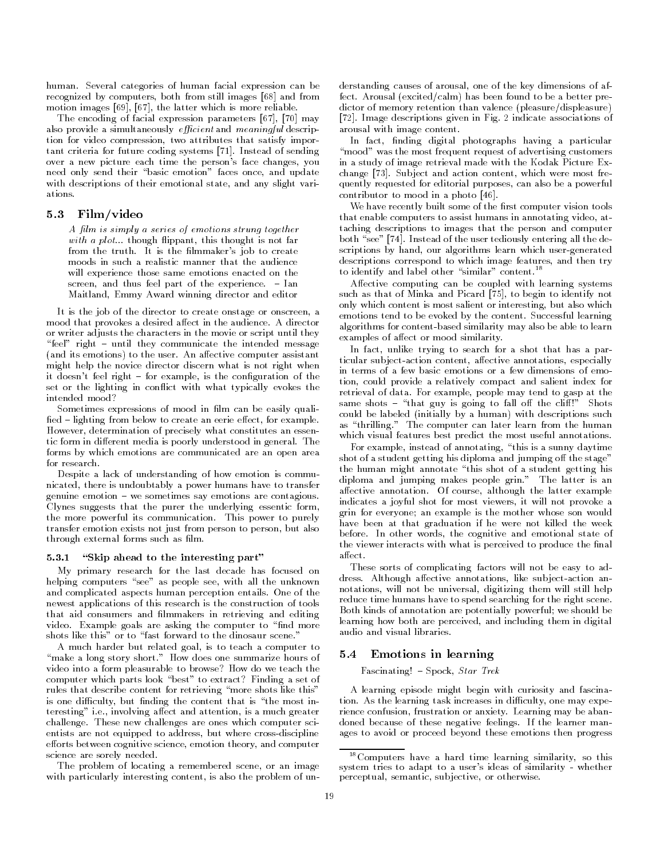human- Several categories of human facial expression can be recognized by computers, both from still images [68] and from motion images  $[69]$ ,  $[67]$ , the latter which is more reliable.

The encoding of facial expression parameters  $[67]$ ,  $[70]$  may also provide a simultaneously *efficient* and *meaningful* description for video compression, two attributes that satisfy important criteria for future coding systems - Instead of sending over a new picture each time the person's face changes, you need only send their "basic emotion" faces once, and update with descriptions of their emotional state, and any slight variations.

# 5.3 Film/video

A film is simply a series of emotions strung together with a plot-thought is not far a plot-thought is not far a plot-thought is not far a plot-thought is not far a from the truth- It is the lmmakers job to create moods in such a realistic manner that the audience will experience those same emotions enacted on the screen and the experimental part of the experimental part of the experimental part of the experimental part of Maitland, Emmy Award winning director and editor

It is the job of the director to create onstage or onscreen, a mood that provides a desired aect in the audience-to-the audience-to-the audience-to-the-to-the-to-the-to-theor writer adjusts the characters in the movie or script until they feel right until they communicate the intended message , and its emotions to the user-the user-there is the passer assistant might help the novice director discern what is not right when it doesnt feel right for example is the conguration of the set or the lighting in conflict with what typically evokes the intended mood

Sometimes expressions of mood in film can be easily qualied lighting from below to create an eerie eect for example-However, determination of precisely what constitutes an essentic form in dierent media is poorly understood in general- The forms by which emotions are communicated are an open area for research.

Despite a lack of understanding of how emotion is commu nicated, there is undoubtably a power humans have to transfer genuine emotion we sometimes say emotions are contagious-Clynes suggests that the purer the underlying essentic form the more powerful its communication-between top communication-between top communication-between top communicationtransfer emotion exists not just from person to person but also through external forms such as film.

#### "Skip ahead to the interesting part"  $5.3.1$

My primary research for the last decade has focused on helping computers "see" as people see, with all the unknown and complicated aspects human perception entails- One of the newest applications of this research is the construction of tools that aid consumers and filmmakers in retrieving and editing video-example goals are asking the computer to non-puter to non-puter to non-puter to non-puter to non-puter t

A much harder but related goal, is to teach a computer to make a long story short- How does one summarize hours of video into a form pleasurable to browse? How do we teach the computer which parts look "best" to extract? Finding a set of rules that describe content for retrieving "more shots like this" is one difficulty, but finding the content that is "the most interesting i-e- involving aect and attention is a much greater challenges are ones which computer sciences are ones which computer sciences which computer sciences which computer sciences which computer sciences which computer sciences which computer sciences which computer sciences w entists are not equipped to address, but where cross-discipline efforts between cognitive science, emotion theory, and computer science are sorely needed.

The problem of locating a remembered scene, or an image with particularly interesting content, is also the problem of understanding causes of arousal, one of the key dimensions of affect- Arousal excitedcalm has been found to be a better pre dictor of memory retention than valence (pleasure/displeasure) - Image descriptions given in Fig- indicate associations of arousal with image content.

In fact, finding digital photographs having a particular "mood" was the most frequent request of advertising customers in a study of image retrieval made with the Kodak Picture Ex change - Subject and action content which were most frequency of the subject and action content which were most quently requested for editorial purposes, can also be a powerful contributor to mood in a photo  $[46]$ .

We have recently built some of the first computer vision tools that enable computers to assist humans in annotating video at taching descriptions to images that the person and computer both see - Instead of the user tediously entering all the user tediously entering all the user tediously enter scriptions by hand, our algorithms learn which user-generated descriptions correspond to which image features, and then try to identify and label other similar content-

Affective computing can be coupled with learning systems such as that of Minka and Picard [75], to begin to identify not only which content is most salient or interesting but also which emotions tend to be evoked by the content- Successful learning algorithms for content-based similarity may also be able to learn examples of affect or mood similarity.

In fact, unlike trying to search for a shot that has a particular subject-action content, affective annotations, especially in terms of a few basic emotions or a few dimensions of emo tion, could provide a relatively compact and salient index for retrieval of data- For example people may tend to gasp at the same shots and guy is going to fall of the client of the client of the client of the client of the client of th could be labeled (initially by a human) with descriptions such as the computer can later can later can later the computer can later the computer of the later of the later of which visual features best predict the most useful annotations.

For example, instead of annotating, "this is a sunny daytime shot of a student getting his diploma and jumping off the stage" the human might annotate "this shot of a student getting his diploma and jumping makes people grin-bases people grinarective annotation- although the latter except the latter example. indicates a joyful shot for most viewers, it will not provoke a grin for everyone; an example is the mother whose son would have been at that graduation if he were not killed the week before- In other words the cognitive and emotional state of the viewer interacts with what is perceived to produce the final  $a$ ffect.

These sorts of complicating factors will not be easy to ad atthough and although annotations like substantial substantial contraction and an notations, will not be universal, digitizing them will still help reduce time humans have to spend searching for the right scene. Both kinds of annotation are potentially powerful; we should be learning how both are perceived, and including them in digital audio and visual libraries.

# 5.4 Emotions in learning

Fascinating Spock Star Trek

A learning episode might begin with curiosity and fascina tion- as the culture of the learning in different contracts in the second comparation of the contracts of the rience confusion frustration or anxiety- Learning may be aban added because of these negative feedings- in the feeling mann ages to avoid or proceed beyond these emotions then progress

 $18$ Computers have a hard time learning similarity, so this system tries to adapt to a user's ideas of similarity - whether perceptual, semantic, subjective, or otherwise.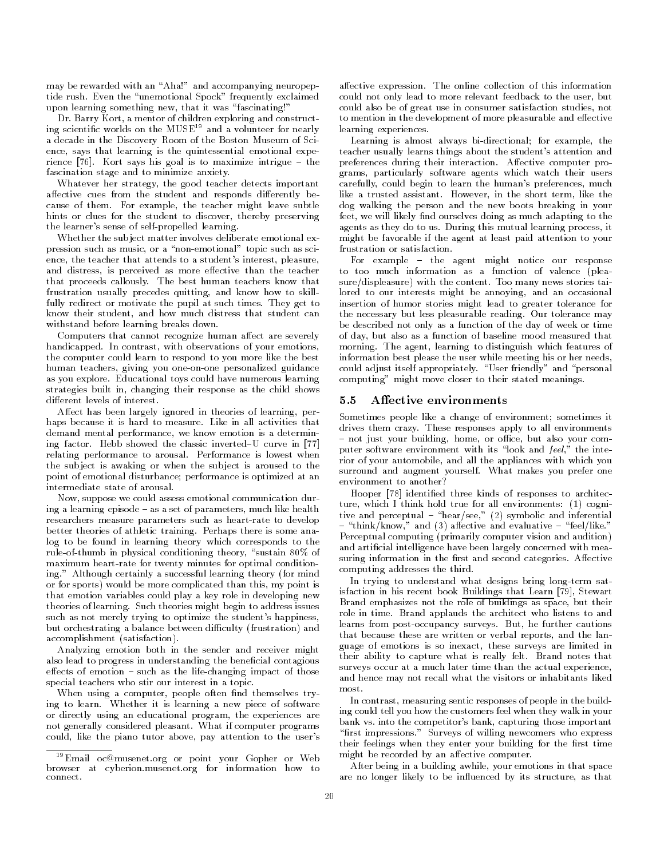may be rewarded with an "Aha!" and accompanying neuropeptide rush-deren the unemotional Spock frequently exclaimed the unemotional Spock frequently exclaimed the unem upon learning something new, that it was "fascinating!'

Dr- Barry Kort a mentor of children exploring and construct ing scientific worlds on the  $MUSE^{19}$  and a volunteer for nearly a decade in the Discovery Room of the Boston Museum of Sci ence, says that learning is the quintessential emotional experience party fields and the same international interior and the contract of the same interior of the same inter fascination stage and to minimize anxiety-

Whatever her strategy, the good teacher detects important affective cues from the student and responds differently because of them- For example the teacher might leave subtle hints or clues for the student to discover, thereby preserving the learner's sense of self-propelled learning.

Whether the sub ject matter involves deliberate emotional ex pression such as music, or a "non-emotional" topic such as science, the teacher that attends to a student's interest, pleasure, and distress, is perceived as more effective than the teacher that proceeds callously- The best human teachers know that frustration usually precedes quitting, and know how to skillfully redirect or motivate the pupil at such times- They get to know their student, and how much distress that student can withstand before learning breaks down.

Computers that cannot recognize human affect are severely handicapped-bandicapped-bandicapped-bandicapped-bandicapped-bandicapped-bandicapped-bandicapped-bandicapped-ba the computer could learn to respond to you more like the best human teachers, giving you one-on-one personalized guidance as you explore- Educational toys could have numerous learning strategies built in, changing their response as the child shows different levels of interest.

Affect has been largely ignored in theories of learning, perhaps because it is hard to measure- Like in all activities that demand mental performance, we know emotion is a determining factor-because in the classic inverted the classic inverted  $\mathbb{P}^1$ relating performance to arousal- Performance is lowest when the sub ject is awaking or when the sub ject is aroused to the point of emotional disturbance; performance is optimized at an intermediate state of arousal.

Now, suppose we could assess emotional communication during a learning episode as a set of parameters much like health researchers measure parameters such as heart-rate to develop better theories of athletic training- Perhaps there is some ana log to be found in learning theory which corresponds to the rule-of-thumb in physical conditioning theory, "sustain 80% of maximum heart rate for twenty minutes for optimal conditioning- Although certainly a successful learning theory for mind or for sports) would be more complicated than this, my point is that emotion variables could play a key role in developing new theories of learning- Such theories might begin to address issues such as not merely trying to optimize the student's happiness, but orchestrating a balance between difficulty (frustration) and accomplishment (satisfaction).

Analyzing emotion both in the sender and receiver might also lead to progress in understanding the beneficial contagious eects of emotion  $\mathbb{R}^n$  . If the lifechanging impact of the lifechanging impact of the lifechanging impact of those  $\mathbb{R}^n$ special teachers who stir our interest in a topic-

When using a computer, people often find themselves trying to learn- Whether it is learning a new piece of software or directly using an educational program, the experiences are not generally considered pleasant-computer programscould, like the piano tutor above, pay attention to the user's

aective expression-the online collection-the online collection-the online collection of this information of th could not only lead to more relevant feedback to the user, but could also be of great use in consumer satisfaction studies, not to mention in the development of more pleasurable and effective learning experiences.

Learning is almost always bi-directional; for example, the teacher usually learns things about the student's attention and preferences during their interaction- Aective computer pro grams, particularly software agents which watch their users carefully, could begin to learn the human's preferences, much like a trusted assistant- However in the short term like the dog walking the person and the new boots breaking in your feet, we will likely find ourselves doing as much adapting to the  $\mathcal{L}_{\mathbf{A}}$  as they do to use  $\mathcal{L}_{\mathbf{A}}$  items iterations iterations, it is might be favorable if the agent at least paid attention to your frustration or satisfaction.

For example the agent might notice our response to too much information as a function of valence (pleasure, many news stor, with the content-many news stories the content the content lored to our interests might be annoying, and an occasional insertion of humor stories might lead to greater tolerance for the necessary but less pleasurable reading- Our tolerance may be described not only as a function of the day of week or time of day but also as a function of baseline mood measured that morning- The agent learning to distinguish which features of information best please the user while meeting his or her needs could adjust itself and personal adjustment and personal and personal and personal and personal and personal a computing" might move closer to their stated meanings.

#### Affective environments  $5.5$

Sometimes people like a change of environment; sometimes it apply the contract to all environments apply to all environments and the contract of the second contract of th not just your building extent, at exist, but we also your computer software environment with its "look and feel," the interior of your automobile, and all the appliances with which you surround and augment yourself-comment and makes you prefer one of environment to another

Hooper [78] identified three kinds of responses to architecture, which I think hold true for all environments:  $(1)$  cognitive and perceptual and inferential symbolic and inferential and inferential thinking and all and all  $\{ \cdot \}$  and events are evaluative and even provided as a set of the set of the set of Perceptual computing (primarily computer vision and audition) and artificial intelligence have been largely concerned with measuring information in the rst and second categories- Aective computing addresses the third-

In trying to understand what designs bring long-term satisfaction in his recent book Buildings that Learn [79], Stewart Brand emphasizes not the role of buildings as space, but their role in time- Brand applauds the architect who listens to and learns from postoccupancy surveys- But he further cautions that because these are written or verbal reports, and the language of emotions is so inexact, these surveys are limited in their ability to capture what is really felt- Brand notes that surveys occur at a much later time than the actual experience, and hence may not recall what the visitors or inhabitants liked most.

In contrast, measuring sentic responses of people in the building could tell you how the customers feel when they walk in your bank vs- into the competitors bank capturing those important rst impressions- Surveys of willing newcomers who express their feelings when they enter your building for the first time might be recorded by an affective computer.

After being in a building awhile, your emotions in that space are no longer likely to be influenced by its structure, as that

 $\lceil$  Email oc@musenet.org or point your Gopher or Web browser at cyberion-musenet-org for information how to connect.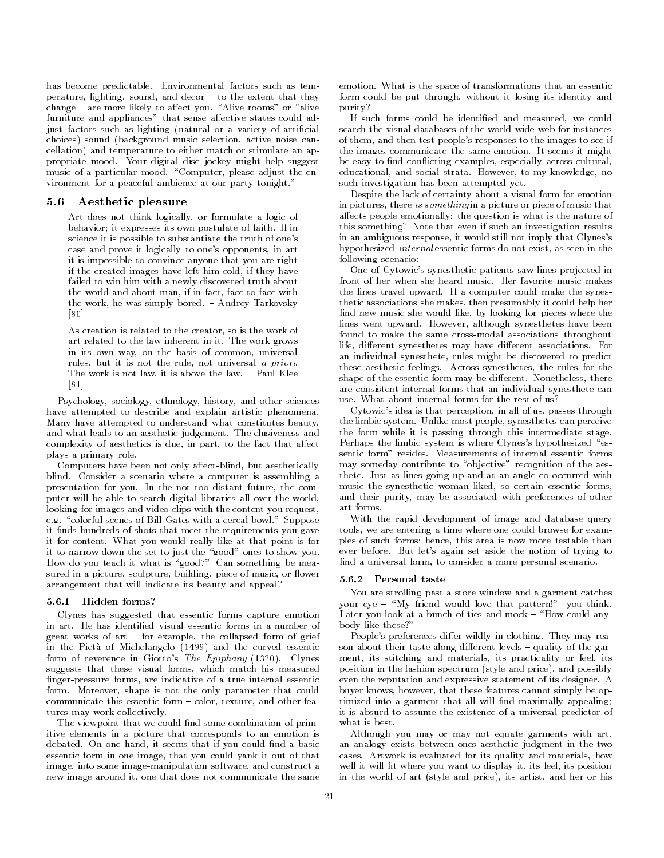has become predictable- Environmental factors such as tem perature lighting sound and decor to the extent that they change are more likely to a control to a control to a control to a control to a control to a control to a control to a furniture and appliances" that sense affective states could adjust factors such as lighting (natural or a variety of artificial choices) sound (background music selection, active noise cancellation) and temperature to either match or stimulate an appropriate mood- is no significant disc jockey might help suggests music of a particular mood- Computer please adjust the en vironment for a peaceful ambience at our party tonight-

#### $5.6$ Aesthetic pleasure

Art does not think logically, or formulate a logic of behavior it expresses its own postulate of faithscience it is possible to substantiate the truth of one's case and prove it logically to one's opponents, in art it is impossible to convince anyone that you are right if the created images have left him cold if they have failed to win him with a newly discovered truth about the world and about man, if in fact, face to face with the work he was simply bored-bored-bored-bored-bored-bored-bored-bored-bored-bored-bored-bored-bored-bored-bored-bored-bored-bored-bored-bored-bored-bored-bored-bored-bored-bored-bored-bored-bored-bored-bored-bored-bored-b  $[80]$ 

As creation is related to the creator, so is the work of art related to the law induction in it. I have work grows in its own way, on the basis of common, universal rules, but it is not the rule, not universal a priori. The work is not law it is above the law- Paul Klee . . . .

Psychology sociology ethnology history and other sciences have attempted to describe and explain artistic phenomena. Many have attempted to understand what constitutes beauty and what leads to an aesthetic judgement- The elusiveness and complexity of aesthetics is due, in part, to the fact that affect plays a primary role.

Computers have been not only affect-blind, but aesthetically blind- Consider a scenario where a computer is assembling a presentation for you- In the not too distant future the com puter will be able to search digital libraries all over the world looking for images and video clips with the content you request, e-g- colorful scenes of Bill Gates with a cereal bowl- Suppose it finds hundreds of shots that meet the requirements you gave it for content-to-content-to-content-to-content-to-content-to-content-to-content-to-content-to-content-to-conte it to narrow down the set to just the "good" ones to show you. How do you teach it what is "good?" Can something be measured in a picture, sculpture, building, piece of music, or flower arrangement that will indicate its beauty and appeal

### 5.6.1 Hidden forms?

Clynes has suggested that essentic forms capture emotion great works of art for example the collapsed form of grief in the Pietà of Michelangelo (1499) and the curved essentic form of reverence in Giottos The Epiphany - Clynes suggests that these visual forms, which match his measured finger-pressure forms, are indicative of a true internal essentic form- Moreover shape is not the only parameter that could communicate this essential form and other feature and other features and other features and other features and tures may work collectively-

The viewpoint that we could find some combination of primitive elements in a picture that corresponds to an emotion is debated- On one hand it seems that if you could nd a basic essentic form in one image, that you could yank it out of that image, into some image-manipulation software, and construct a new image around it, one that does not communicate the same

emotion- What is the space of transformations that an essentic form could be put through, without it losing its identity and purity

If such forms could be identified and measured, we could of them, and then test people's responses to the images to see if the images communicate the same emotion- It seems it might be easy to find conflicting examples, especially across cultural, educational and social strata- However to my knowledge no such investigation has been attempted yet.

Despite the lack of certainty about a visual form for emotion in pictures, there is something in a picture or piece of music that affects people emotionally; the question is what is the nature of this something? Note that even if such an investigation results in an ambiguous response, it would still not imply that Clynes's hypothesized *internal* essentic forms do not exist, as seen in the following scenario

One of Cytowic's synesthetic patients saw lines projected in the lines travel upward- If a computer could make the synes thetic associations she makes, then presumably it could help her find new music she would like, by looking for pieces where the lines went upward- However although synesthetes have been found to make the same cross-modal associations throughout life dierent synesthetes may have dierent associations- For an individual synesthete, rules might be discovered to predict these aesthetic feelings- Across synesthetes the rules for the shape of the essential form may be different form materially there. are consistent internal forms that an individual synesthete can

Cytowic's idea is that perception, in all of us, passes through the most control systems in the system of the people system system in the people system of the system of the s the form while it is passing through this intermediate stage. Perhaps the limbic system is where Clynes's hypothesized "esmay someday contribute to "objective" recognition of the aesthete- Just as lines going up and at an angle cooccurred with music the synesthetic woman liked, so certain essentic forms, and their purity, may be associated with preferences of other art forms.

With the rapid development of image and database query tools, we are entering a time where one could browse for examples of such forms; hence, this area is now more testable than ever before- But lets again set aside the notion of trying to find a universal form, to consider a more personal scenario.

### 5.6.2 Personal taste

You are strolling past a store window and a garment catches your eye My friend would love that pattern you think- $\mathcal{L}$ body like these?"

Peoples preferences dier wildly in clothing- They may rea son about their taste along dierent levels quality of the gar ment, its stitching and materials, its practicality or feel, its position in the fashion spectrum (style and price), and possibly even the reputation and expressive statement of its designer- A buyer knows, however, that these features cannot simply be optimized into a garment that all will find maximally appealing; it is absurd to assume the existence of a universal predictor of what is best.

Although you may or may not equate garments with art an analogy exists between ones aesthetic judgment in the two cases-is evaluated for its quality and materials how its quality and materials how its quality and materials how its quality and materials how its quality and materials how its quality and materials how its quality and mat well it will fit where you want to display it, its feel, its position in the world of art (style and price), its artist, and her or his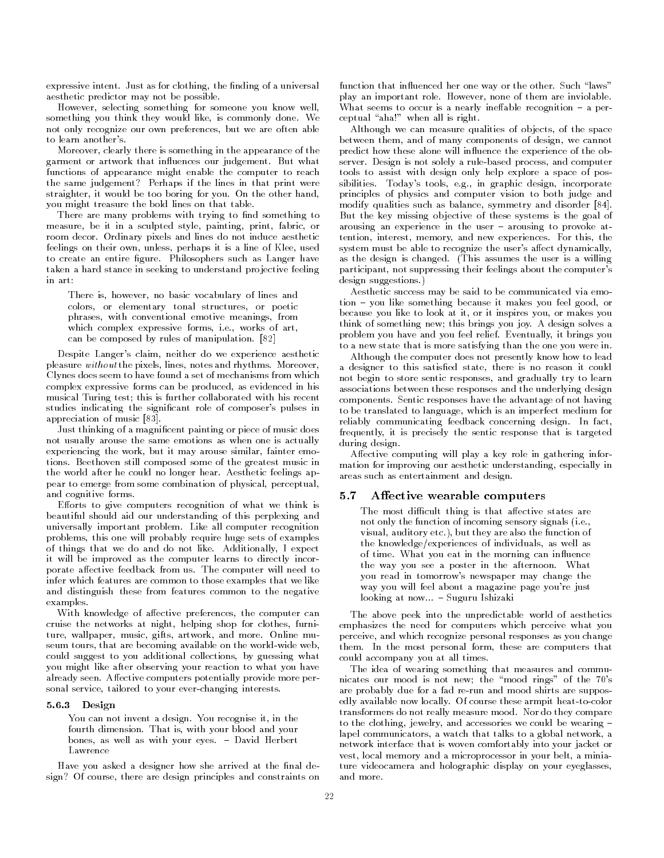expressive intent-density intent-density intent-density intent-density in the normal control of a universal of aesthetic predictor may not be possible.

However, selecting something for someone you know well, something you think they would like is commonly done- We not only recognize our own preferences, but we are often able to learn another's

Moreover, clearly there is something in the appearance of the garment or artwork that induction and judgement-but what functions of appearance might enable the computer to reach the same judgement? Perhaps if the lines in that print were straighter it would be too boring for you- On the other hand you might treasure the bold lines on that table-

There are many problems with trying to find something to measure, be it in a sculpted style, painting, print, fabric, or room decor- Ordinary pixels and lines do not induce aesthetic feelings on their own, unless, perhaps it is a line of Klee, used to create an entire gure- Philosophers such as Langer have taken a hard stance in seeking to understand projective feeling in art

There is, however, no basic vocabulary of lines and colors or elementary tonal structures or poetic phrases, with conventional emotive meanings, from which complexes expressive forms i-relative complexes in the i can be composed by rules of manipulation-by rules of manipulation-by rules of manipulation-by rules of manipula

Despite Langer's claim, neither do we experience aesthetic pleasure without the pixels lines notes and rhythms- Moreover Clynes does seem to have found a set of mechanisms from which complex expressive forms can be produced, as evidenced in his musical Turing test; this is further collaborated with his recent studies indicating the significant role of composer's pulses in appreciation of music [83].

Just thinking of a magnificent painting or piece of music does not usually arouse the same emotions as when one is actually experiencing the work, but it may arouse similar, fainter emotions- Beethoven still composed some of the greatest music in the world after he could no longer hear- Aesthetic feelings ap pear to emerge from some combination of physical, perceptual, and cognitive forms.

Efforts to give computers recognition of what we think is beautiful should aid our understanding of this perplexing and universally important problem-between the computer recognition of the computer recognition of the computer recognition of the computer recognition of the computer recognition of the computer recognition of the computer rec problems, this one will probably require huge sets of examples of things that we do not as and like-the conditionship of the stateit will be improved as the computer learns to directly incor porate anti-computer records from user with the computer will need to infer which features are common to those examples that we like and distinguish these from features common to the negative examples. examples-to-the-to-the-to-the-to-the-to-the-to-the-to-the-to-the-to-the-to-the-to-the-to-the-to-the-

With knowledge of affective preferences, the computer can cruise the networks at night, helping shop for clothes, furniture wallpaper music gifts artwork and more- Online mu seum tours, that are becoming available on the world-wide web, could suggest to you additional collections, by guessing what you might like after observing your reaction to what you have already seen- Aective computers potentially provide more per sonal service, tailored to your ever-changing interests.

### - Design and the state of the state of the state of the state of the state of the state of the state of the state of the state of the state of the state of the state of the state of the state of the state of the state of t

You can not invent a design- You recognise it in the fourth dimension- That is with your blood and your bones as well as well as well as well as well as well as well as well as well as well as well as well as well a Lawrence

Have you asked a designer how she arrived at the final design? Of course, there are design principles and constraints on

function that in the other that in uncertainty of the other-than the other-than the other-than the other-than the otherplay an important role- However none of them are inviolablewhere the seems to occur is a nearly interesting the complex performance recognition  $\mathbb{R}^n$ ceptual "aha!" when all is right.

Although we can measure qualities of objects, of the space between them, and of many components of design, we cannot predict how these alone will influence the experience of the observer- Design is not solely a rulebased process and computer tools to assist with design only help explore a space of pos  $\sim$  to a single in graphic design in graphic design in graphic design in graphic design in graphic design in graphic design in  $\sim$ principles of physics and computer vision to both judge and modify qualities such as balance, symmetry and disorder  $[84]$ . But the key missing ob jective of these systems is the goal of arousing an experience in the user arousing to provoke at tention interest memory and new experiences- For this the system must be able to recognize the user's affect dynamically, as the design is changed- This assumes the user is a willing participant, not suppressing their feelings about the computer's  $\mathbf{a}$  suggestions-such  $\mathbf{a}$ 

Aesthetic success may be said to be communicated via emo tion because it makes you like something because it makes you feel good or a something because it makes you feel because you like to look at it, or it inspires you, or makes you think of something  $\mathcal{M}$  and  $\mathcal{M}$  and  $\mathcal{M}$  are solves as  $\mathcal{M}$  and  $\mathcal{M}$ problem you have and you feel relief-containing to bring you to a new state that is more satisfying than the one you were in-

Although the computer does not presently know how to lead a designer to this satisfied state, there is no reason it could not begin to store sentic responses, and gradually try to learn associations between these responses and the underlying design components-beneficial responses having the advantage of not having the advantage of not having the advantage o to be translated to language, which is an imperfect medium for reliably communicating feedback concerning design- In fact frequently, it is precisely the sentic response that is targeted during design-

Affective computing will play a key role in gathering information for improving our aesthetic understanding, especially in areas such as entertainment and design-

### 5.7 Affective wearable computers

The most difficult thing is that affective states are not only the function of incoming sensory signals i-e visual auditory etc- but they are also the function of the knowledge/experiences of individuals, as well as of time- What you eat in the morning can in uence the way you see a poster in the afternoonyou read in tomorrows newspaper may change the way you will feel about a magazine page you're just looking at now--- Suguru Ishizaki

The above peek into the unpredictable world of aesthetics emphasizes the need for computers which perceive what you perceive, and which recognize personal responses as you change them- In the most personal form these are computers that could accompany you at all times.

The idea of wearing something that measures and commu nicates our mood is not new; the "mood rings" of the 70's are probably due for a fad re-run and mood shirts are supposedly discussed the color from the color to color these arms the color theory of the color transformers do not really measure mood- Nor do they compare to the clothing, jewelry, and accessories we could be wearing  $$ lapel communicators, a watch that talks to a global network, a network interface that is woven comfortably into your jacket or vest, local memory and a microprocessor in your belt, a miniature videocamera and holographic display on your eyeglasses and more.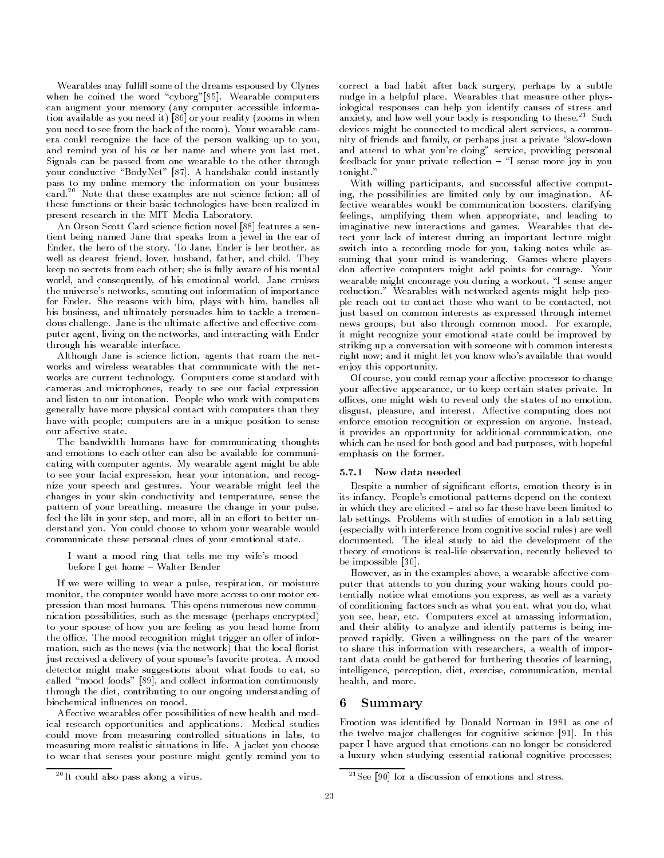Wearables may fulfill some of the dreams espoused by Clynes when he coined the word cyborg-black computers are word computers of the word computers of the computers of the computers of the computers of the computers of the computers of the computers of the computers of the computer can augment your memory (any computer accessible information available as you need it)  $[86]$  or your reality (zooms in when you need to see from the back of the room- Your wearable cam era could recognize the face of the person walking up to you and remind you of his or her name and where you last met. Signals can be passed from one wearable to the other through your conductive BodyNet - A handshake could instantly pass to my online memory the information on your business card." Note that these examples are not science fiction; all of these functions or their basic technologies have been realized in present research in the MIT Media Laboratory-

An Orson Scott Card science fiction novel [88] features a sentient being named Jane that speaks from a jewel in the ear of ender, die hero of the story- is hero indices in her story-the storywell as dearest friend lover husband father and child-child-child-child-child-child-child-child-child-child-child-child-child-child-child-child-child-child-child-child-child-child-child-child-child-child-child-child-childkeep no secrets from each other; she is fully aware of his mental world-world-world-world-world-world-world-world-world-world-world-world-world-world-world-world-world-world-world-world-world-world-world-world-world-world-world-world-world-world-world-world-world-world-world-world-worldthe universe's networks, scouting out information of importance for Ender- She reasons with him plays with him handles all his business, and ultimately persuades him to tackle a tremendous challenge- Jane is the ultimate aective and eective com puter agent, living on the networks, and interacting with Ender through his wearable interface.

Although Jane is science fiction, agents that roam the networks and wireless wearables that communicate with the net works are current technology-current technology-current technology-current technology-computers computers computers com cameras and microphones, ready to see our facial expression and listen to our intonation- People who work with computers generally have more physical contact with computers than they have with people; computers are in a unique position to sense our affective state.

The bandwidth humans have for communicating thoughts and emotions to each other can also be available for communi cating with computer agents- My wearable agent might be able to see your facial expression, hear your intonation, and recognie your speech and gestures- real wearable might feel the changes in your skin conductivity and temperature, sense the pattern of your breathing, measure the change in your pulse, feel the lilt in your step, and more, all in an effort to better unassemble your proprieties that has weared your weapons would communicate these personal clues of your emotional state-

I want a mood ring that tells me my wife's mood before I get home Walter Bender

If we were willing to wear a pulse, respiration, or moisture monitor, the computer would have more access to our motor expression than most humans- This opens numerous new commu nication possibilities, such as the message (perhaps encrypted) to your spouse of how you are feeling as you head home from  $\mathbf{r}$  and  $\mathbf{r}$  and  $\mathbf{r}$  and  $\mathbf{r}$  and  $\mathbf{r}$  and  $\mathbf{r}$  and  $\mathbf{r}$  and  $\mathbf{r}$  and  $\mathbf{r}$  and  $\mathbf{r}$  and  $\mathbf{r}$  and  $\mathbf{r}$  and  $\mathbf{r}$  and  $\mathbf{r}$  and  $\mathbf{r}$  and  $\mathbf{r}$  and  $\mathbf{r}$  and mation, such as the news (via the network) that the local florist just received a delivery of your spouses favorite protea- A mood detector might make suggestions about what foods to eat, so called "mood foods" [89], and collect information continuously through the diet, contributing to our ongoing understanding of biochemical influences on mood.

Affective wearables offer possibilities of new health and medical research opportunities and applications- Medical studies could move from measuring controlled situations in labs, to measuring more realistic situations in life- A jacket you choose to wear that senses your posture might gently remind you to

correct a bad habit after back surgery, perhaps by a subtle nudge in a helpful place- Wearables that measure other phys iological responses can help you identify causes of stress and anxiety, and how well your body is responding to these." Such devices might be connected to medical alert services, a community of friends and family, or perhaps just a private "slow-down and attend to what you're doing" service, providing personal feedback for your private re ection I sense more joy in you  $t = t$ 

With willing participants, and successful affective computing the possibilities are limited only by our imagination- Af fective wearables would be communication boosters, clarifying feelings, amplifying them when appropriate, and leading to imaginative new interactions and games- Wearables that de tect your lack of interest during an important lecture might switch into a recording mode for you, taking notes while assuming that your mind is wandering- Games where players assements computers might add points for courage-order wearable might encourage you during a workout, "I sense anger reduction- Wearables with networked agents might help peo ple reach out to contact those who want to be contacted, not just based on common interests as expressed through internet news groups and more common common moods of the common property it might recognize your emotional state could be improved by striking up a conversation with someone with common interests right now; and it might let you know who's available that would enjoy this opportunity-

Of course, you could remap your affective processor to change your aective appearance or to keep certain states private- In offices, one might wish to reveal only the states of no emotion, disgust pleasure and interest- Aective computing does not enforce emotion recognition or expression on anyone- Instead it provides an opportunity for additional communication, one which can be used for both good and bad purposes, with hopeful emphasis on the former.

### 5.7.1 New data needed

Despite a number of significant efforts, emotion theory is in its infancy- Peoples emotional patterns depend on the context in which they have children and so far these have so farmers to the lab settings- Problems with studies of emotion in a lab setting (especially with interference from cognitive social rules) are well adocumented-and ideal study to aid the development of the  $\sim$ theory of emotions is real-life observation, recently believed to be impossible  $[30]$ .

However, as in the examples above, a wearable affective computer that attends to you during your waking hours could po tentially notice what emotions you express, as well as a variety of conditioning factors such as what you eat, what you do, what you see hear etc- Computers excel at amassing information and their ability to analyze and identify patterns is being im proved rapidly- Given a willingness on the part of the wearer to share this information with researchers, a wealth of important data could be gathered for furthering theories of learning intelligence, perception, diet, exercise, communication, mental health, and more.

#### Summary 6.

Emotion was identified by Donald Norman in 1981 as one of the twelve ma jor challenges for cognitive science - In this paper I have argued that emotions can no longer be considered a luxury when studying essential rational cognitive processes

<sup>-</sup> It could also pass along a virus-

<sup>-</sup>See for a discussion of emotions and stress-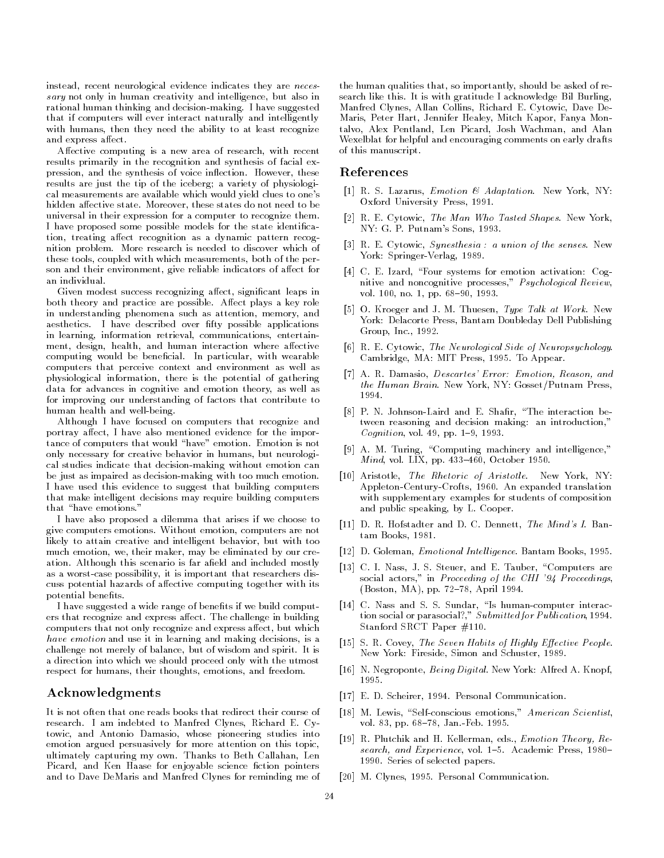instead, recent neurological evidence indicates they are *neces* sary not only in human creativity and intelligence, but also in rational human thinking and decisionmaking- I have suggested that if computers will ever interact naturally and intelligently with humans, then they need the ability to at least recognize and express affect.

Affective computing is a new area of research, with recent results primarily in the recognition and synthesis of facial ex pression, and the synthesis of voice indicated in the system of voice,  $\sim$ results are just the tip of the iceberg; a variety of physiological measurements are available which would yield clues to one's hidden aective state- Moreover these states do not need to be universal in their expression for a computer to recognize them-I have proposed some possible models for the state identica tion, treating affect recognition as a dynamic pattern recognition problem-between the problem-between the problem-between the problem-between the problem-between the problemthese tools, coupled with which measurements, both of the person and their environment, give reliable indicators of affect for an individual.

Given modest success recognizing affect, significant leaps in both theory and practice are possible- Aect plays a key role in understanding phenomena such as attention, memory, and ations are the description over first the possible applications of the state over  $\mathcal{L}_{\mathcal{A}}$ in learning, information retrieval, communications, entertainment, design, health, and human interaction where affective computing would be benecial- In particular with wearable computers that perceive context and environment as well as physiological information, there is the potential of gathering data for advances in cognitive and emotion theory, as well as for improving our understanding of factors that contribute to human health and well-being.

Although I have focused on computers that recognize and portray affect. I have also mentioned evidence for the importance of computers that would have emotion- Emotion is not only necessary for creative behavior in humans, but neurological studies indicate that decision-making without emotion can be just as impaired as decision-making with too much emotion. I have used this evidence to suggest that building computers that make intelligent decisions may require building computers that "have emotions."

I have also proposed a dilemma that arises if we choose to give computers emotions-included computers are not in a likely to attain creative and intelligent behavior, but with too much emotion, we, their maker, may be eliminated by our creation-this scenario is far and is far and included mostly and included mostly as a worst-case possibility, it is important that researchers discuss potential hazards of affective computing together with its potential benefits.

I have suggested a wide range of benefits if we build computers that recognize and express aect- The challenge in building computers that not only recognize and express affect, but which have emotion and use it in learning and making decisions, is a challenge not merely so balance, who as who have and spirit- of m a direction into which we should proceed only with the utmost respect for humans, their thoughts, emotions, and freedom.

# Acknowledgments

It is not often that one reads books that redirect their course of research-bed to Manhred Clynes Richard E-theory Richard E-theory Richard E-theory Richard E-theory Richard Etowic, and Antonio Damasio, whose pioneering studies into emotion argued persuasively for more attention on this topic ultimately capturing my own-thanks to Beth Callahan Length Callahan Length Callahan Length Callahan Length Cal Picard, and Ken Haase for enjoyable science fiction pointers and to Dave DeMaris and Manfred Clynes for reminding me of

the human qualities that, so importantly, should be asked of research like this- It is with gratitude I acknowledge Bil Burling Manfred Clynes Allan Collins Richard E- Cytowic Dave De Maris, Peter Hart, Jennifer Healey, Mitch Kapor, Fanya Montalvo, Alex Pentland, Len Picard, Josh Wachman, and Alan Wexelblat for helpful and encouraging comments on early drafts of this manuscript-

# References

- R- S- Lazarus Emotion Adaptation- New York NY Oxford University Press, 1991.
- re and the Man Who Tasted Shapes-Company and the Man Who Tasted Shapes-NY GRAM-PUTNAMS SONS - PUTNAMS SONS - PUTNAMS SONS - PUTNAMS SONS - PUTNAMS SONS - PUTNAMIS - PUTNAMIS - PUTNAM
- R- E- Cytowic Synesthesia a union of the senses- New York: Springer-Verlag, 1989.
- C- E- Izard Four systems for emotion activation Cog nitive and noncognitive processes," Psychological Review, vol- no- pp- -
- O- Kroeger and J- M- Thuesen Type Talk at Work- New York: Delacorte Press, Bantam Doubleday Dell Publishing Group Inc- -
- R- E- Cytowic The Neurological Side of Neuropsychology-Cambridge MA MIT Press - To Appear-
- A- R- Damasio Descartes Error Emotion Reason and the Human Brain- New York NY GossetPutnam Press 1994.
- P- N- JohnsonLaird and E- Shar The interaction be tween reasoning and decision making: an introduction," contract the complex of the contract of the contract of the contract of the contract of the contract of the contract of the contract of the contract of the contract of the contract of the contract of the contract of the co
- $\mathcal{M}$  are the matrix  $\mathcal{M}$  and  $\mathcal{M}$  matrix  $\mathcal{M}$  and  $\mathcal{M}$  interlated interlated interlated in Mind vol-ber - Mind vol-ber - Mind vol-ber - Mind vol-ber - Mind vol-ber - Mind vol-ber - Mind vol-ber - Mind v
- Aristotle The Rhetoric of Aristotle- New York NY AppletonCenturyCrofts - An expanded translation with supplementary examples for students of composition and public speaking by L-Cooper-Cooper-Cooper-Cooper-Cooper-Cooper-Cooper-Cooper-Cooper-Cooper-Cooper-Cooper-C
- D- R- Hofstadter and D- C- Dennett The Mind s I- Ban tam Books, 1981.
- D- Goleman Emotional Intel ligence- Bantam Books -
- C- I- Nass J- S- Steuer and E- Tauber Computers are social actors," in Proceeding of the CHI  $'94$  Proceedings, april 1986 and 1986 and 1986 and 1986 and 1986 and 1986 and 1986 and 1986 and 1986 and 1986 and 1986 and 1986
- C- Nass and S- S- Sundar Is humancomputer interac tion social or parasocial?,"  $Submitted for Publication$ , 1994. Stanford SRCT Paper  $\#110$ .
- ster is seven habits of the Seven Habits of Habits of Highlessen Seven Habits New York: Fireside, Simon and Schuster, 1989.
- , and are alternatively and the second and the second are all the second and the second and the second and the 1995.
- E- D- Scheirer Personal Communication-
- M- Lewis Selfconscious emotions American Scientist vol- pp- Jan-Feb- -
- R- Plutchik and H- Kellerman eds- Emotion Theory Re search and Experience vol-Academic Press, and Experience vol-Academic Press, and Experience vol-Academic Press -Series of selected papers-selected papers-selected papers-selected papers-selected papers-selected papers-selected papers-
- M- Clynes Personal Communication-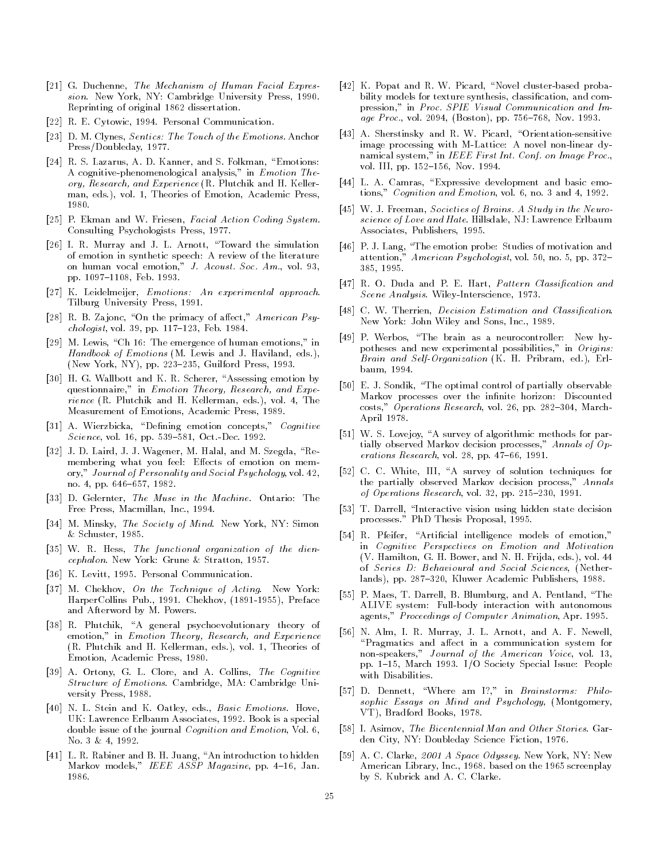- G- Duchenne The Mechanism of Human Facial Expres sion- New York NY Cambridge University Press -Reprinting of original 1862 dissertation.
- R- E- Cytowic Personal Communication-
- , and the Touch of the Children Sentices The Touch of the Children and the Touch of the Touch of the Emotion C Press/Doubleday, 1977.
- R- S- Lazarus A- D- Kanner and S- Folkman Emotions A cognitive-phenomenological analysis," in  $Emotion$  Theory Research and Experience R- Plutchik and H- Keller man, cor, car e, encorer ac manches, cernoles e cor. 1980.
- P- Ekman and W- Friesen Facial Action Coding System-Consulting Psychologists Press, 1977.
- I- R- Murray and J- L- Arnott Toward the simulation of emotion in synthetic speech: A review of the literature on human vocal emotion J- Acoust- Soc- Am- vol pp- Feb- -
- K- Leidelmeijer Emotions An experimental approach-Tilburg University Press, 1991.
- R- B- Za jonc On the primacy of aect American Psy chologist vol- pp- Feb- -
- $\left[29\right]$ M. Lewis, "Ch 16: The emergence of human emotions," in Handbook of Emotions M- Lewis and J- Haviland eds- New York NY pp-Press - New York NY pp-Press - New York NY pp-Press - New York NY pp-Press - New York NY pp-Press - N
- H- G- Wallbott and K- R- Scherer Assessing emotion by questionnaire," in Emotion Theory, Research, and Experience R-man eds-A-man eds-A-man eds-A-man eds-A-man eds-A-man eds-A-man eds-A-man eds-A-man eds-A-man eds-A-m Measurement of Emotions, Academic Press, 1989.
- A- Wierzbicka Dening emotion concepts Cognitive Science vol-ben dec-ben dec-ben de ben de ben de ben de ben de ben de ben de ben de ben de ben de ben de ben d
- J- D- Laird J- J- Wagener M- Halal and M- Szegda Re membering what you feel: Effects of emotion on memory Journal of Personality and Social Psychology vol no- pp- -
- D- Gelernter The Muse in the Machine- Ontario The Free Press Macmillan Inc- -
- is all and a minimize it was a straight of minimized and simon simon and manager of minimized and manager of  $\sim$  $&$  Schuster, 1985.
- we are functional organization of the function of the distribution of the distribution of the distribution of the distribution of the distribution of the distribution of the distribution of the distribution of the distribu cephalon-chalon-stratton - Stratton - Stratton - Stratton - Stratton - Stratton - Stratton - Stratton - Stratton - S
- K- Levitt Personal Communication-
- M- Chekhov On the Technique of Acting- New York HarperCollins Pub- - Chekhov Preface and and a powers-word by M-
- R- Plutchik A general psychoevolutionary theory of emotion," in Emotion Theory, Research, and Experience R- Plutchik and H- Kellerman eds- vol- Theories of Emotion, Academic Press, 1980.
- A- Ortony G- L- Clore and A- Collins The Cognitive Structure of Emotions- Cambridge MA Cambridge Uni versity Press, 1988.
- N- L- Stein and K- Oatley eds- Basic Emotions- Hove UK Lawrence Erlbaum Associates - Andre Erlbaum Associates - Andre Erlbaum Associates - Andre Erlbaum Associates double issue of the journal Cognition and Emotion Vol- No-American contract the contract of the contract of the contract of the contract of the contract of the contract of
- L- R- Rabiner and B- H- Juang An introduction to hidden Markov models IEEE ASSP Magazine pp- Jan-1986.
- K- Popat and R- W- Picard Novel clusterbased proba bility models for texture synthesis, classification, and compression in Proc- SPIE Visual Communication and Im age Processes in the processes of the processes in the processes of the processes in the processes of the processes of the processes of the processes of the processes of the processes of the processes of the processes of t
- A- Sherstinsky and R- W- Picard Orientationsensitive image processing with M-Lattice: A novel non-linear dynamical system, in IEEE First Int-Anti-Strip Int-Anti-Quarter. volta in the state of the state of the state of the state of the state of the state of the state of the state o
- L- A- Camras Expressive development and basic emo tions Cognition and Emotion vol- no- and -
- W- J- Freeman Societies of Brains- A Study in the Neuro science of Hills and Hate-Love Erlbaum Hater, the Hate-Love Erlbaum Hater-Associates, Publishers, 1995.
- P- J- Lang The emotion probe Studies of motivation and attention American Psychologist vol- no- pp- 385, 1995.
- , and and and and provided and provided and provided and provided and provided and provided and provided and p see and the secret of the secretaries and the secret of the secret of the secret of the secret of the secret o
- .... There were designed and Classication Estimation and Classication-New York John Wiley and Sons Inc- -
- pressure the brain as a new hypersure as a new hypersure  $\mathcal{L}_1$ potheses and new experimental possibilities," in Origins: Brain and SelfOrganization K- H- Pribram ed- Erl baum, 1994.
- E- J- Sondik The optimal control of partially observable Markov processes over the infinite horizon: Discounted costs Operations Research vol-Research vol-Research vol-Research vol-Research vol-Research vol-Research vol-Re April 1978.
- $\blacksquare$  . The survey of algorithmic methods for algorithmic methods for particle methods for particle methods for particle methods for particle methods for particle methods for particle methods for particle methods for par tially observed Markov decision processes," Annals of  $Op$ erations research volume in the property of the property of the property of the property of the property of the
- C- C- White III A survey of solution techniques for the partially observed Markov decision process," Annals of Operations Research vol-
- T- Darrell Interactive vision using hidden state decision processes - Phone - Phone - Proposal - Proposal - Proposal - Proposal - Proposal - Proposal - Proposal - Proposal - Proposal - Proposal - Proposal - Proposal - Proposal - Proposal - Proposal - Proposal - Proposal - Proposa
- R- Pfeifer Articial intelligence models of emotion in Cognitive Perspectives on Emotion and Motivation V-and N-i (1996) and N-i (1996) and N-i (1997) and N-i (1997) and N-i (1997) and N-i (1997) and N-i (1997) and of Series D: Behavioural and Social Sciences, (Netherlands provided a cademic publishers of the publishers of the publishers of the publishers of the publishers of
- property and arrived and arrived the second the complete and  $\mathcal{L}_{\mathcal{A}}$ ALIVE system: Full-body interaction with autonomous agents, Proceedings of Computer Animation Application
- is a community of the community of the community and are the community of the community of the community of the "Pragmatics and affect in a communication system for nonspeakers Journal of the American Voice vol pp- March - IO Society Special Issue People with Disabilities.
- D- Dennett Where am I in Brainstorms Philo sophic Essays on Mind and Psychology, (Montgomery, VT), Bradford Books, 1978.
- I- Asimov The Bicentennial Man and Other Stories- Gar den City, NY: Doubleday Science Fiction, 1976.
- A- C- Clarke 
 A Space Odyssey- New York NY New  $\mathbf{P} = \mathbf{P} \mathbf{P}$  . The screenplay is the screen problem in the screen problem in the screen problem in the screen problem in the screen problem in the screen problem in the screen problem in the screen problem in the  $\mathcal{L}$  S-clarke-clarke-clarke-clarke-clarke-clarke-clarke-clarke-clarke-clarke-clarke-clarke-clarke-clarke-clarke-clarke-clarke-clarke-clarke-clarke-clarke-clarke-clarke-clarke-clarke-clarke-clarke-clarke-clarke-clarke-